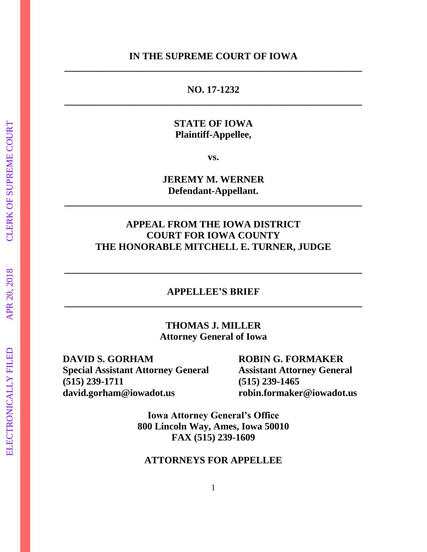### **IN THE SUPREME COURT OF IOWA \_\_\_\_\_\_\_\_\_\_\_\_\_\_\_\_\_\_\_\_\_\_\_\_\_\_\_\_\_\_\_\_\_\_\_\_\_\_\_\_\_\_\_\_\_\_\_\_\_\_\_\_\_\_\_\_\_\_\_\_\_**

### **NO. 17-1232 \_\_\_\_\_\_\_\_\_\_\_\_\_\_\_\_\_\_\_\_\_\_\_\_\_\_\_\_\_\_\_\_\_\_\_\_\_\_\_\_\_\_\_\_\_\_\_\_\_\_\_\_\_\_\_\_\_\_\_\_\_**

## **STATE OF IOWA Plaintiff-Appellee,**

**vs.**

**JEREMY M. WERNER Defendant-Appellant.**

**\_\_\_\_\_\_\_\_\_\_\_\_\_\_\_\_\_\_\_\_\_\_\_\_\_\_\_\_\_\_\_\_\_\_\_\_\_\_\_\_\_\_\_\_\_\_\_\_\_\_\_\_\_\_\_\_\_\_\_\_\_**

# **APPEAL FROM THE IOWA DISTRICT COURT FOR IOWA COUNTY THE HONORABLE MITCHELL E. TURNER, JUDGE**

### **APPELLEE'S BRIEF \_\_\_\_\_\_\_\_\_\_\_\_\_\_\_\_\_\_\_\_\_\_\_\_\_\_\_\_\_\_\_\_\_\_\_\_\_\_\_\_\_\_\_\_\_\_\_\_\_\_\_\_\_\_\_\_\_\_\_\_\_**

**\_\_\_\_\_\_\_\_\_\_\_\_\_\_\_\_\_\_\_\_\_\_\_\_\_\_\_\_\_\_\_\_\_\_\_\_\_\_\_\_\_\_\_\_\_\_\_\_\_\_\_\_\_\_\_\_\_\_\_\_\_**

**THOMAS J. MILLER Attorney General of Iowa**

**DAVID S. GORHAM ROBIN G. FORMAKER Special Assistant Attorney General Assistant Attorney General (515) 239-1711 (515) 239-1465 [david.gorham@iowadot.us](mailto:david.gorham@iowadot.us) robin.formaker@iowadot.us**

**Iowa Attorney General's Office 800 Lincoln Way, Ames, Iowa 50010 FAX (515) 239-1609**

### **ATTORNEYS FOR APPELLEE**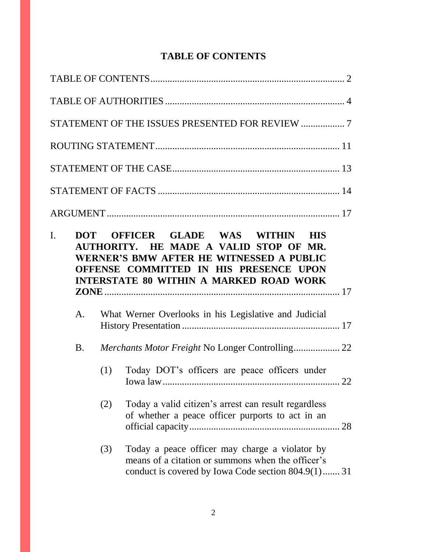# **TABLE OF CONTENTS**

| $\mathbf{I}$ .<br>$A_{\cdot}$ |     | DOT OFFICER GLADE WAS WITHIN HIS<br>AUTHORITY. HE MADE A VALID STOP OF MR.<br>WERNER'S BMW AFTER HE WITNESSED A PUBLIC<br>OFFENSE COMMITTED IN HIS PRESENCE UPON<br><b>INTERSTATE 80 WITHIN A MARKED ROAD WORK</b> |    |
|-------------------------------|-----|--------------------------------------------------------------------------------------------------------------------------------------------------------------------------------------------------------------------|----|
|                               |     |                                                                                                                                                                                                                    |    |
|                               |     | What Werner Overlooks in his Legislative and Judicial                                                                                                                                                              |    |
| <b>B.</b>                     |     |                                                                                                                                                                                                                    |    |
|                               | (1) | Today DOT's officers are peace officers under                                                                                                                                                                      | 22 |
|                               | (2) | Today a valid citizen's arrest can result regardless<br>of whether a peace officer purports to act in an                                                                                                           |    |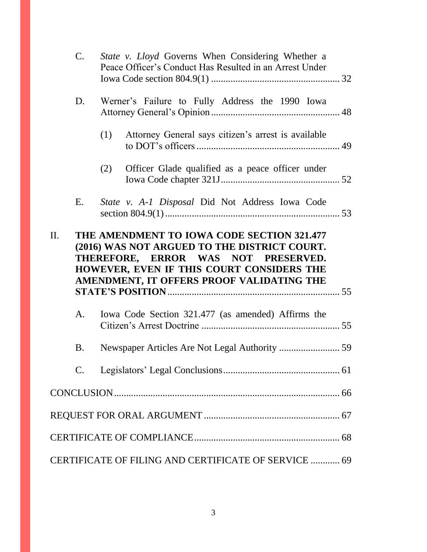|    | C.                                                                                                                                                                                                                          | <i>State v. Lloyd</i> Governs When Considering Whether a<br>Peace Officer's Conduct Has Resulted in an Arrest Under |                                                     |  |  |  |
|----|-----------------------------------------------------------------------------------------------------------------------------------------------------------------------------------------------------------------------------|---------------------------------------------------------------------------------------------------------------------|-----------------------------------------------------|--|--|--|
|    | D.                                                                                                                                                                                                                          |                                                                                                                     | Werner's Failure to Fully Address the 1990 Iowa     |  |  |  |
|    |                                                                                                                                                                                                                             | (1)                                                                                                                 | Attorney General says citizen's arrest is available |  |  |  |
|    |                                                                                                                                                                                                                             | (2)                                                                                                                 | Officer Glade qualified as a peace officer under    |  |  |  |
|    | E.                                                                                                                                                                                                                          |                                                                                                                     | State v. A-1 Disposal Did Not Address Iowa Code     |  |  |  |
| Π. | THE AMENDMENT TO IOWA CODE SECTION 321.477<br>(2016) WAS NOT ARGUED TO THE DISTRICT COURT.<br>THEREFORE, ERROR WAS NOT PRESERVED.<br>HOWEVER, EVEN IF THIS COURT CONSIDERS THE<br>AMENDMENT, IT OFFERS PROOF VALIDATING THE |                                                                                                                     |                                                     |  |  |  |
|    | A.                                                                                                                                                                                                                          |                                                                                                                     |                                                     |  |  |  |
|    |                                                                                                                                                                                                                             |                                                                                                                     | Iowa Code Section 321.477 (as amended) Affirms the  |  |  |  |
|    | <b>B.</b>                                                                                                                                                                                                                   |                                                                                                                     |                                                     |  |  |  |
|    | C.                                                                                                                                                                                                                          |                                                                                                                     |                                                     |  |  |  |
|    |                                                                                                                                                                                                                             |                                                                                                                     |                                                     |  |  |  |
|    |                                                                                                                                                                                                                             |                                                                                                                     |                                                     |  |  |  |
|    |                                                                                                                                                                                                                             |                                                                                                                     |                                                     |  |  |  |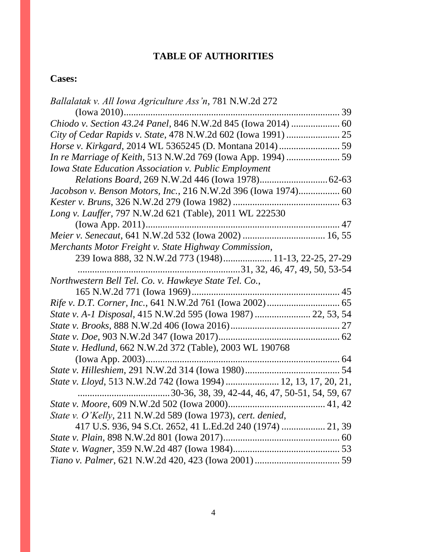# **TABLE OF AUTHORITIES**

# **Cases:**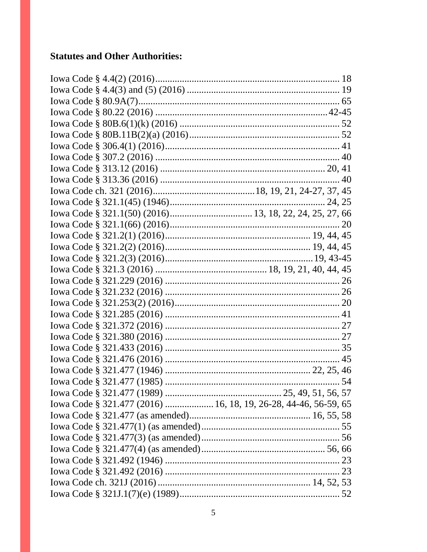# **Statutes and Other Authorities:**

| Iowa Code § 321.477 (2016)  16, 18, 19, 26-28, 44-46, 56-59, 65 |  |
|-----------------------------------------------------------------|--|
|                                                                 |  |
|                                                                 |  |
|                                                                 |  |
|                                                                 |  |
|                                                                 |  |
|                                                                 |  |
|                                                                 |  |
|                                                                 |  |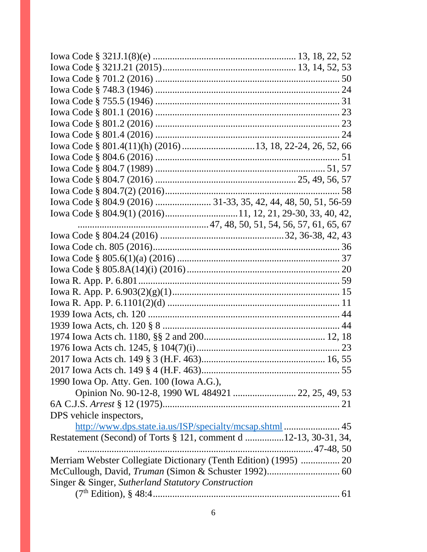| 1990 Iowa Op. Atty. Gen. 100 (Iowa A.G.),                        |  |
|------------------------------------------------------------------|--|
|                                                                  |  |
|                                                                  |  |
| DPS vehicle inspectors,                                          |  |
| http://www.dps.state.ia.us/ISP/specialty/mcsap.shtml  45         |  |
| Restatement (Second) of Torts § 121, comment d 12-13, 30-31, 34, |  |
|                                                                  |  |
| Merriam Webster Collegiate Dictionary (Tenth Edition) (1995)  20 |  |
|                                                                  |  |
| Singer & Singer, Sutherland Statutory Construction               |  |
|                                                                  |  |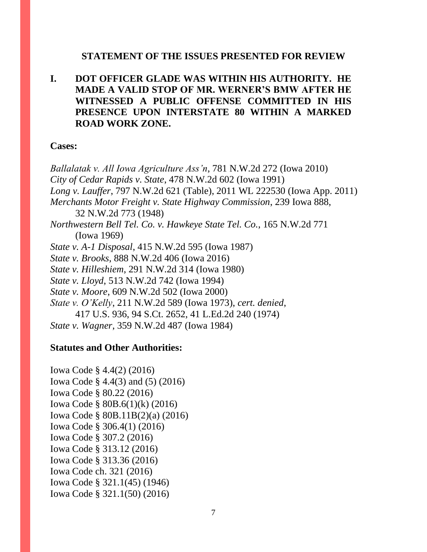#### **STATEMENT OF THE ISSUES PRESENTED FOR REVIEW**

## **I. DOT OFFICER GLADE WAS WITHIN HIS AUTHORITY. HE MADE A VALID STOP OF MR. WERNER'S BMW AFTER HE WITNESSED A PUBLIC OFFENSE COMMITTED IN HIS PRESENCE UPON INTERSTATE 80 WITHIN A MARKED ROAD WORK ZONE.**

#### **Cases:**

*Ballalatak v. All Iowa Agriculture Ass'n*, 781 N.W.2d 272 (Iowa 2010) *City of Cedar Rapids v. State*, 478 N.W.2d 602 (Iowa 1991) *Long v. Lauffer*, 797 N.W.2d 621 (Table), 2011 WL 222530 (Iowa App. 2011) *Merchants Motor Freight v. State Highway Commission*, 239 Iowa 888, 32 N.W.2d 773 (1948) *Northwestern Bell Tel. Co. v. Hawkeye State Tel. Co.*, 165 N.W.2d 771 (Iowa 1969) *State v. A-1 Disposal*, 415 N.W.2d 595 (Iowa 1987) *State v. Brooks*, 888 N.W.2d 406 (Iowa 2016) *State v. Hilleshiem*, 291 N.W.2d 314 (Iowa 1980) *State v. Lloyd*, 513 N.W.2d 742 (Iowa 1994) *State v. Moore*, 609 N.W.2d 502 (Iowa 2000) *State v. O'Kelly*, 211 N.W.2d 589 (Iowa 1973), *cert. denied*, 417 U.S. 936, 94 S.Ct. 2652, 41 L.Ed.2d 240 (1974) *State v. Wagner*, 359 N.W.2d 487 (Iowa 1984)

#### **Statutes and Other Authorities:**

Iowa Code § 4.4(2) (2016) Iowa Code § 4.4(3) and (5) (2016) Iowa Code § 80.22 (2016) Iowa Code § 80B.6(1)(k) (2016) Iowa Code § 80B.11B(2)(a) (2016) Iowa Code § 306.4(1) (2016) Iowa Code § 307.2 (2016) Iowa Code § 313.12 (2016) Iowa Code § 313.36 (2016) Iowa Code ch. 321 (2016) Iowa Code § 321.1(45) (1946) Iowa Code § 321.1(50) (2016)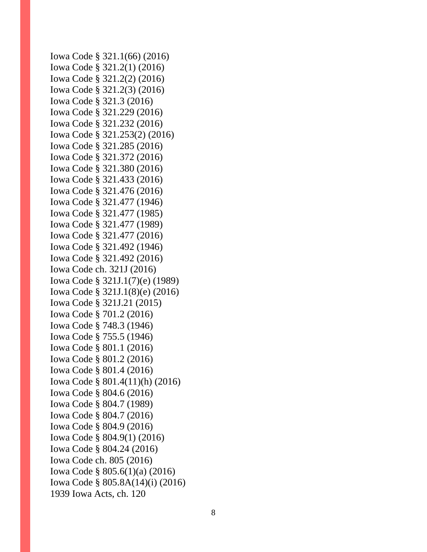```
Iowa Code § 321.1(66) (2016)
Iowa Code § 321.2(1) (2016)
Iowa Code § 321.2(2) (2016)
Iowa Code § 321.2(3) (2016)
Iowa Code § 321.3 (2016)
Iowa Code § 321.229 (2016)
Iowa Code § 321.232 (2016)
Iowa Code § 321.253(2) (2016)
Iowa Code § 321.285 (2016)
Iowa Code § 321.372 (2016)
Iowa Code § 321.380 (2016)
Iowa Code § 321.433 (2016)
Iowa Code § 321.476 (2016)
Iowa Code § 321.477 (1946)
Iowa Code § 321.477 (1985)
Iowa Code § 321.477 (1989)
Iowa Code § 321.477 (2016)
Iowa Code § 321.492 (1946)
Iowa Code § 321.492 (2016)
Iowa Code ch. 321J (2016)
Iowa Code § 321J.1(7)(e) (1989)
Iowa Code § 321J.1(8)(e) (2016)
Iowa Code § 321J.21 (2015)
Iowa Code § 701.2 (2016)
Iowa Code § 748.3 (1946)
Iowa Code § 755.5 (1946)
Iowa Code § 801.1 (2016)
Iowa Code § 801.2 (2016)
Iowa Code § 801.4 (2016)
Iowa Code § 801.4(11)(h) (2016)
Iowa Code § 804.6 (2016)
Iowa Code § 804.7 (1989)
Iowa Code § 804.7 (2016)
Iowa Code § 804.9 (2016)
Iowa Code § 804.9(1) (2016)
Iowa Code § 804.24 (2016)
Iowa Code ch. 805 (2016)
Iowa Code § 805.6(1)(a) (2016)
Iowa Code § 805.8A(14)(i) (2016)
1939 Iowa Acts, ch. 120
```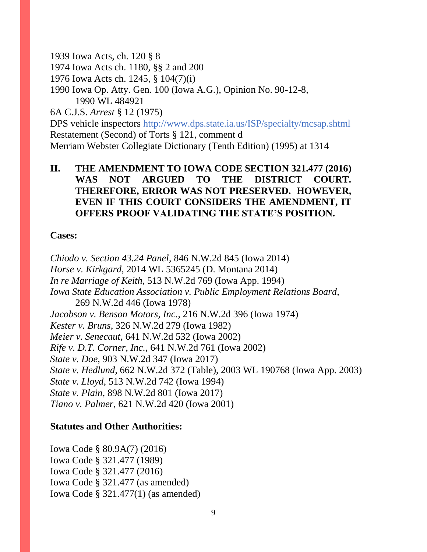1939 Iowa Acts, ch. 120 § 8

1974 Iowa Acts ch. 1180, §§ 2 and 200

1976 Iowa Acts ch. 1245, § 104(7)(i)

1990 Iowa Op. Atty. Gen. 100 (Iowa A.G.), Opinion No. 90-12-8, 1990 WL 484921

6A C.J.S. *Arrest* § 12 (1975)

DPS vehicle inspectors<http://www.dps.state.ia.us/ISP/specialty/mcsap.shtml> Restatement (Second) of Torts § 121, comment d

Merriam Webster Collegiate Dictionary (Tenth Edition) (1995) at 1314

# **II. THE AMENDMENT TO IOWA CODE SECTION 321.477 (2016) WAS NOT ARGUED TO THE DISTRICT COURT. THEREFORE, ERROR WAS NOT PRESERVED. HOWEVER, EVEN IF THIS COURT CONSIDERS THE AMENDMENT, IT OFFERS PROOF VALIDATING THE STATE'S POSITION.**

### **Cases:**

*Chiodo v. Section 43.24 Panel*, 846 N.W.2d 845 (Iowa 2014) *Horse v. Kirkgard*, 2014 WL 5365245 (D. Montana 2014) *In re Marriage of Keith*, 513 N.W.2d 769 (Iowa App. 1994) *Iowa State Education Association v. Public Employment Relations Board*, 269 N.W.2d 446 (Iowa 1978) *Jacobson v. Benson Motors, Inc.*, 216 N.W.2d 396 (Iowa 1974) *Kester v. Bruns*, 326 N.W.2d 279 (Iowa 1982) *Meier v. Senecaut*, 641 N.W.2d 532 (Iowa 2002) *Rife v. D.T. Corner, Inc.*, 641 N.W.2d 761 (Iowa 2002) *State v. Doe*, 903 N.W.2d 347 (Iowa 2017) *State v. Hedlund*, 662 N.W.2d 372 (Table), 2003 WL 190768 (Iowa App. 2003) *State v. Lloyd*, 513 N.W.2d 742 (Iowa 1994) *State v. Plain*, 898 N.W.2d 801 (Iowa 2017) *Tiano v. Palmer*, 621 N.W.2d 420 (Iowa 2001)

## **Statutes and Other Authorities:**

Iowa Code § 80.9A(7) (2016) Iowa Code § 321.477 (1989) Iowa Code § 321.477 (2016) Iowa Code § 321.477 (as amended) Iowa Code § 321.477(1) (as amended)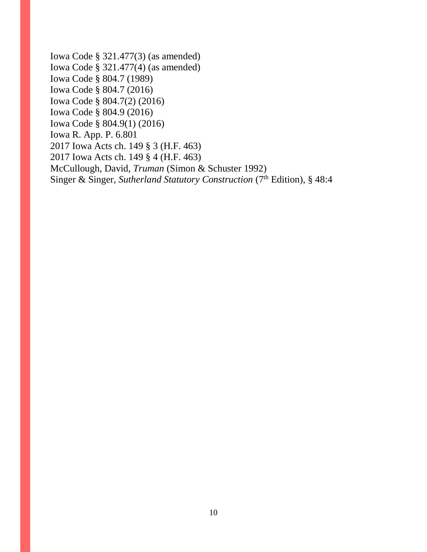Iowa Code § 321.477(3) (as amended) Iowa Code § 321.477(4) (as amended) Iowa Code § 804.7 (1989) Iowa Code § 804.7 (2016) Iowa Code § 804.7(2) (2016) Iowa Code § 804.9 (2016) Iowa Code § 804.9(1) (2016) Iowa R. App. P. 6.801 2017 Iowa Acts ch. 149 § 3 (H.F. 463) 2017 Iowa Acts ch. 149 § 4 (H.F. 463) McCullough, David, *Truman* (Simon & Schuster 1992) Singer & Singer, *Sutherland Statutory Construction* (7<sup>th</sup> Edition), § 48:4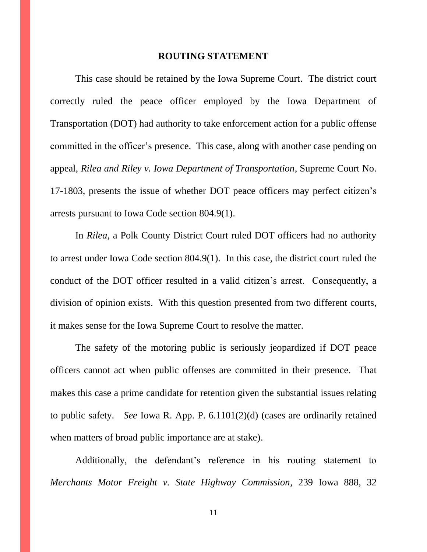#### **ROUTING STATEMENT**

This case should be retained by the Iowa Supreme Court. The district court correctly ruled the peace officer employed by the Iowa Department of Transportation (DOT) had authority to take enforcement action for a public offense committed in the officer's presence. This case, along with another case pending on appeal, *Rilea and Riley v. Iowa Department of Transportation*, Supreme Court No. 17-1803, presents the issue of whether DOT peace officers may perfect citizen's arrests pursuant to Iowa Code section 804.9(1).

In *Rilea*, a Polk County District Court ruled DOT officers had no authority to arrest under Iowa Code section 804.9(1). In this case, the district court ruled the conduct of the DOT officer resulted in a valid citizen's arrest. Consequently, a division of opinion exists. With this question presented from two different courts, it makes sense for the Iowa Supreme Court to resolve the matter.

The safety of the motoring public is seriously jeopardized if DOT peace officers cannot act when public offenses are committed in their presence. That makes this case a prime candidate for retention given the substantial issues relating to public safety. *See* Iowa R. App. P. 6.1101(2)(d) (cases are ordinarily retained when matters of broad public importance are at stake).

Additionally, the defendant's reference in his routing statement to *Merchants Motor Freight v. State Highway Commission*, 239 Iowa 888, 32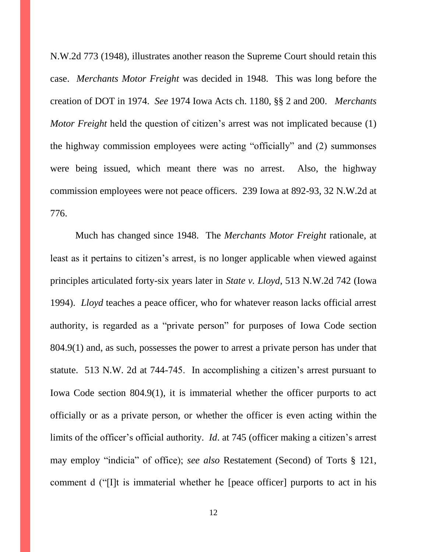N.W.2d 773 (1948), illustrates another reason the Supreme Court should retain this case. *Merchants Motor Freight* was decided in 1948. This was long before the creation of DOT in 1974. *See* 1974 Iowa Acts ch. 1180, §§ 2 and 200. *Merchants Motor Freight* held the question of citizen's arrest was not implicated because (1) the highway commission employees were acting "officially" and (2) summonses were being issued, which meant there was no arrest. Also, the highway commission employees were not peace officers. 239 Iowa at 892-93, 32 N.W.2d at 776.

Much has changed since 1948. The *Merchants Motor Freight* rationale, at least as it pertains to citizen's arrest, is no longer applicable when viewed against principles articulated forty-six years later in *State v. Lloyd*, 513 N.W.2d 742 (Iowa 1994). *Lloyd* teaches a peace officer, who for whatever reason lacks official arrest authority, is regarded as a "private person" for purposes of Iowa Code section 804.9(1) and, as such, possesses the power to arrest a private person has under that statute. 513 N.W. 2d at 744-745. In accomplishing a citizen's arrest pursuant to Iowa Code section 804.9(1), it is immaterial whether the officer purports to act officially or as a private person, or whether the officer is even acting within the limits of the officer's official authority. *Id*. at 745 (officer making a citizen's arrest may employ "indicia" of office); *see also* Restatement (Second) of Torts § 121, comment d ("[I]t is immaterial whether he [peace officer] purports to act in his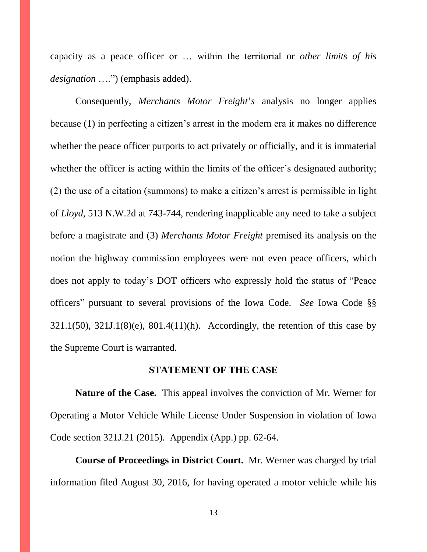capacity as a peace officer or … within the territorial or *other limits of his designation* ….") (emphasis added).

Consequently, *Merchants Motor Freight*'*s* analysis no longer applies because (1) in perfecting a citizen's arrest in the modern era it makes no difference whether the peace officer purports to act privately or officially, and it is immaterial whether the officer is acting within the limits of the officer's designated authority; (2) the use of a citation (summons) to make a citizen's arrest is permissible in light of *Lloyd*, 513 N.W.2d at 743-744, rendering inapplicable any need to take a subject before a magistrate and (3) *Merchants Motor Freight* premised its analysis on the notion the highway commission employees were not even peace officers, which does not apply to today's DOT officers who expressly hold the status of "Peace officers" pursuant to several provisions of the Iowa Code. *See* Iowa Code §§  $321.1(50)$ ,  $321J.1(8)$ (e),  $801.4(11)$ (h). Accordingly, the retention of this case by the Supreme Court is warranted.

#### **STATEMENT OF THE CASE**

**Nature of the Case.** This appeal involves the conviction of Mr. Werner for Operating a Motor Vehicle While License Under Suspension in violation of Iowa Code section 321J.21 (2015). Appendix (App.) pp. 62-64.

**Course of Proceedings in District Court.** Mr. Werner was charged by trial information filed August 30, 2016, for having operated a motor vehicle while his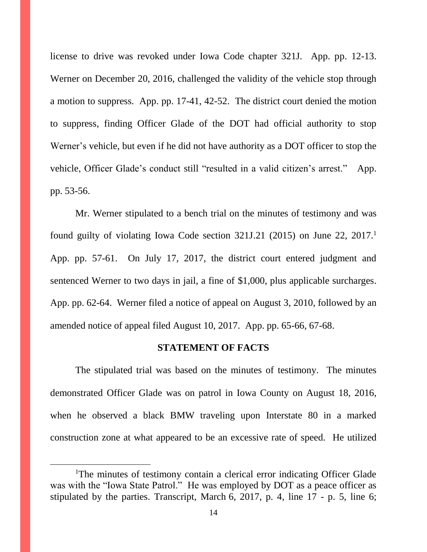license to drive was revoked under Iowa Code chapter 321J. App. pp. 12-13. Werner on December 20, 2016, challenged the validity of the vehicle stop through a motion to suppress. App. pp. 17-41, 42-52. The district court denied the motion to suppress, finding Officer Glade of the DOT had official authority to stop Werner's vehicle, but even if he did not have authority as a DOT officer to stop the vehicle, Officer Glade's conduct still "resulted in a valid citizen's arrest." App. pp. 53-56.

Mr. Werner stipulated to a bench trial on the minutes of testimony and was found guilty of violating Iowa Code section  $321J.21$  (2015) on June 22, 2017.<sup>1</sup> App. pp. 57-61. On July 17, 2017, the district court entered judgment and sentenced Werner to two days in jail, a fine of \$1,000, plus applicable surcharges. App. pp. 62-64. Werner filed a notice of appeal on August 3, 2010, followed by an amended notice of appeal filed August 10, 2017. App. pp. 65-66, 67-68.

#### **STATEMENT OF FACTS**

The stipulated trial was based on the minutes of testimony. The minutes demonstrated Officer Glade was on patrol in Iowa County on August 18, 2016, when he observed a black BMW traveling upon Interstate 80 in a marked construction zone at what appeared to be an excessive rate of speed. He utilized

<sup>&</sup>lt;sup>1</sup>The minutes of testimony contain a clerical error indicating Officer Glade was with the "Iowa State Patrol." He was employed by DOT as a peace officer as stipulated by the parties. Transcript, March 6, 2017, p. 4, line 17 - p. 5, line 6;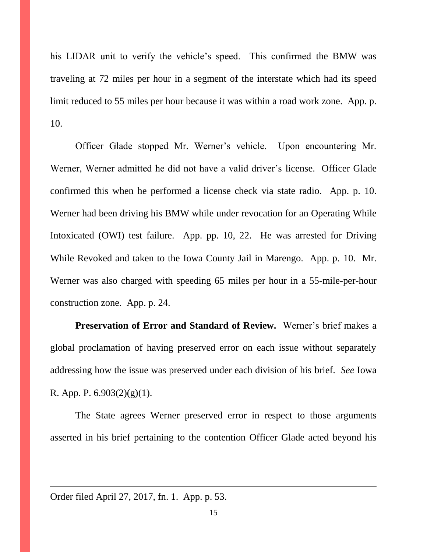his LIDAR unit to verify the vehicle's speed. This confirmed the BMW was traveling at 72 miles per hour in a segment of the interstate which had its speed limit reduced to 55 miles per hour because it was within a road work zone. App. p. 10.

Officer Glade stopped Mr. Werner's vehicle. Upon encountering Mr. Werner, Werner admitted he did not have a valid driver's license. Officer Glade confirmed this when he performed a license check via state radio. App. p. 10. Werner had been driving his BMW while under revocation for an Operating While Intoxicated (OWI) test failure. App. pp. 10, 22. He was arrested for Driving While Revoked and taken to the Iowa County Jail in Marengo. App. p. 10. Mr. Werner was also charged with speeding 65 miles per hour in a 55-mile-per-hour construction zone. App. p. 24.

**Preservation of Error and Standard of Review.** Werner's brief makes a global proclamation of having preserved error on each issue without separately addressing how the issue was preserved under each division of his brief. *See* Iowa R. App. P.  $6.903(2)(g)(1)$ .

The State agrees Werner preserved error in respect to those arguments asserted in his brief pertaining to the contention Officer Glade acted beyond his

Order filed April 27, 2017, fn. 1. App. p. 53.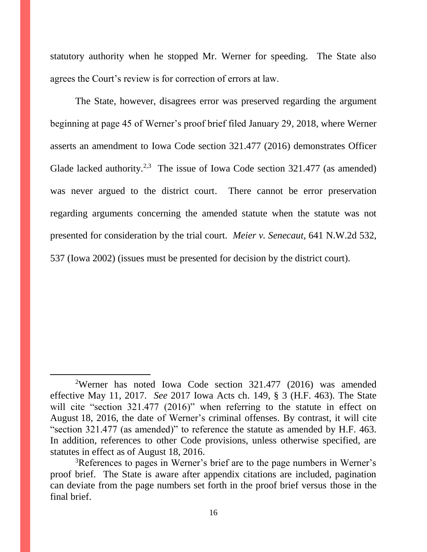statutory authority when he stopped Mr. Werner for speeding. The State also agrees the Court's review is for correction of errors at law.

The State, however, disagrees error was preserved regarding the argument beginning at page 45 of Werner's proof brief filed January 29, 2018, where Werner asserts an amendment to Iowa Code section 321.477 (2016) demonstrates Officer Glade lacked authority.<sup>2,3</sup> The issue of Iowa Code section  $321.477$  (as amended) was never argued to the district court. There cannot be error preservation regarding arguments concerning the amended statute when the statute was not presented for consideration by the trial court. *Meier v. Senecaut*, 641 N.W.2d 532, 537 (Iowa 2002) (issues must be presented for decision by the district court).

<sup>2</sup>Werner has noted Iowa Code section 321.477 (2016) was amended effective May 11, 2017. *See* 2017 Iowa Acts ch. 149, § 3 (H.F. 463). The State will cite "section 321.477 (2016)" when referring to the statute in effect on August 18, 2016, the date of Werner's criminal offenses. By contrast, it will cite "section 321.477 (as amended)" to reference the statute as amended by H.F. 463. In addition, references to other Code provisions, unless otherwise specified, are statutes in effect as of August 18, 2016.

<sup>3</sup>References to pages in Werner's brief are to the page numbers in Werner's proof brief. The State is aware after appendix citations are included, pagination can deviate from the page numbers set forth in the proof brief versus those in the final brief.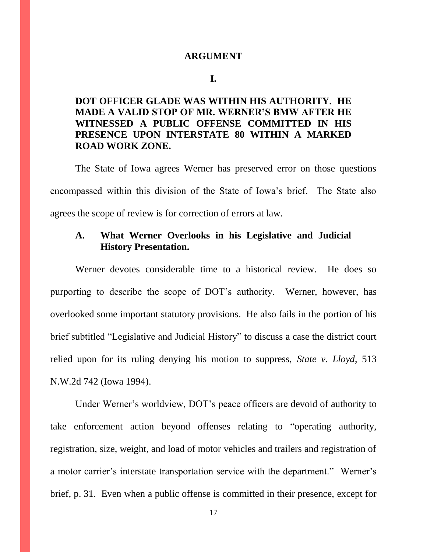#### **ARGUMENT**

#### **I.**

# **DOT OFFICER GLADE WAS WITHIN HIS AUTHORITY. HE MADE A VALID STOP OF MR. WERNER'S BMW AFTER HE WITNESSED A PUBLIC OFFENSE COMMITTED IN HIS PRESENCE UPON INTERSTATE 80 WITHIN A MARKED ROAD WORK ZONE.**

The State of Iowa agrees Werner has preserved error on those questions encompassed within this division of the State of Iowa's brief. The State also agrees the scope of review is for correction of errors at law.

## **A. What Werner Overlooks in his Legislative and Judicial History Presentation.**

Werner devotes considerable time to a historical review. He does so purporting to describe the scope of DOT's authority. Werner, however, has overlooked some important statutory provisions. He also fails in the portion of his brief subtitled "Legislative and Judicial History" to discuss a case the district court relied upon for its ruling denying his motion to suppress, *State v. Lloyd*, 513 N.W.2d 742 (Iowa 1994).

Under Werner's worldview, DOT's peace officers are devoid of authority to take enforcement action beyond offenses relating to "operating authority, registration, size, weight, and load of motor vehicles and trailers and registration of a motor carrier's interstate transportation service with the department." Werner's brief, p. 31. Even when a public offense is committed in their presence, except for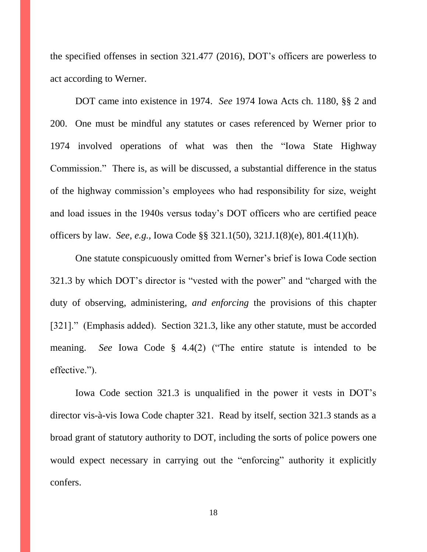the specified offenses in section 321.477 (2016), DOT's officers are powerless to act according to Werner.

DOT came into existence in 1974. *See* 1974 Iowa Acts ch. 1180, §§ 2 and 200. One must be mindful any statutes or cases referenced by Werner prior to 1974 involved operations of what was then the "Iowa State Highway Commission." There is, as will be discussed, a substantial difference in the status of the highway commission's employees who had responsibility for size, weight and load issues in the 1940s versus today's DOT officers who are certified peace officers by law. *See*, *e.g.*, Iowa Code §§ 321.1(50), 321J.1(8)(e), 801.4(11)(h).

One statute conspicuously omitted from Werner's brief is Iowa Code section 321.3 by which DOT's director is "vested with the power" and "charged with the duty of observing, administering, *and enforcing* the provisions of this chapter [321]." (Emphasis added). Section 321.3, like any other statute, must be accorded meaning. *See* Iowa Code § 4.4(2) ("The entire statute is intended to be effective.").

Iowa Code section 321.3 is unqualified in the power it vests in DOT's director vis-à-vis Iowa Code chapter 321. Read by itself, section 321.3 stands as a broad grant of statutory authority to DOT, including the sorts of police powers one would expect necessary in carrying out the "enforcing" authority it explicitly confers.

18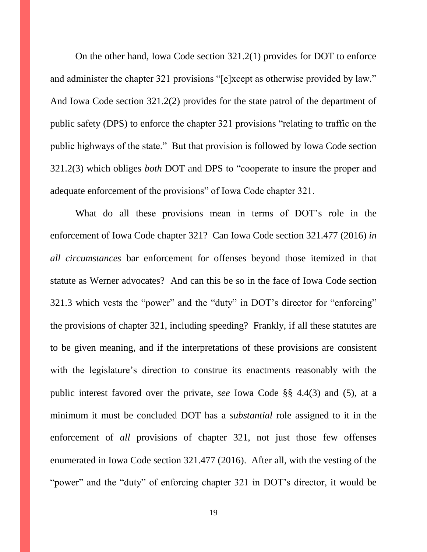On the other hand, Iowa Code section 321.2(1) provides for DOT to enforce and administer the chapter 321 provisions "[e]xcept as otherwise provided by law." And Iowa Code section 321.2(2) provides for the state patrol of the department of public safety (DPS) to enforce the chapter 321 provisions "relating to traffic on the public highways of the state." But that provision is followed by Iowa Code section 321.2(3) which obliges *both* DOT and DPS to "cooperate to insure the proper and adequate enforcement of the provisions" of Iowa Code chapter 321.

What do all these provisions mean in terms of DOT's role in the enforcement of Iowa Code chapter 321? Can Iowa Code section 321.477 (2016) *in all circumstances* bar enforcement for offenses beyond those itemized in that statute as Werner advocates? And can this be so in the face of Iowa Code section 321.3 which vests the "power" and the "duty" in DOT's director for "enforcing" the provisions of chapter 321, including speeding? Frankly, if all these statutes are to be given meaning, and if the interpretations of these provisions are consistent with the legislature's direction to construe its enactments reasonably with the public interest favored over the private, *see* Iowa Code §§ 4.4(3) and (5), at a minimum it must be concluded DOT has a *substantial* role assigned to it in the enforcement of *all* provisions of chapter 321, not just those few offenses enumerated in Iowa Code section 321.477 (2016). After all, with the vesting of the "power" and the "duty" of enforcing chapter 321 in DOT's director, it would be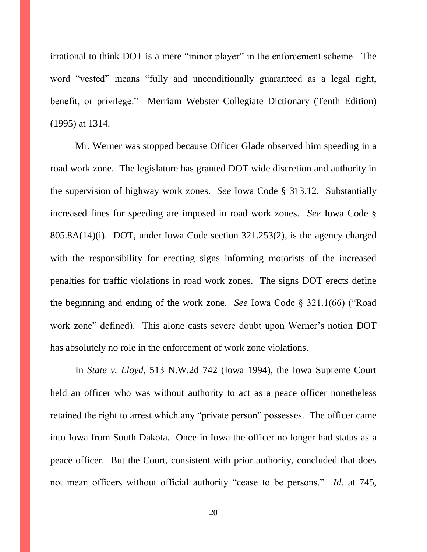irrational to think DOT is a mere "minor player" in the enforcement scheme. The word "vested" means "fully and unconditionally guaranteed as a legal right, benefit, or privilege." Merriam Webster Collegiate Dictionary (Tenth Edition) (1995) at 1314.

Mr. Werner was stopped because Officer Glade observed him speeding in a road work zone. The legislature has granted DOT wide discretion and authority in the supervision of highway work zones. *See* Iowa Code § 313.12. Substantially increased fines for speeding are imposed in road work zones. *See* Iowa Code § 805.8A(14)(i). DOT, under Iowa Code section 321.253(2), is the agency charged with the responsibility for erecting signs informing motorists of the increased penalties for traffic violations in road work zones. The signs DOT erects define the beginning and ending of the work zone. *See* Iowa Code § 321.1(66) ("Road work zone" defined). This alone casts severe doubt upon Werner's notion DOT has absolutely no role in the enforcement of work zone violations.

In *State v. Lloyd*, 513 N.W.2d 742 (Iowa 1994), the Iowa Supreme Court held an officer who was without authority to act as a peace officer nonetheless retained the right to arrest which any "private person" possesses. The officer came into Iowa from South Dakota. Once in Iowa the officer no longer had status as a peace officer. But the Court, consistent with prior authority, concluded that does not mean officers without official authority "cease to be persons." *Id.* at 745,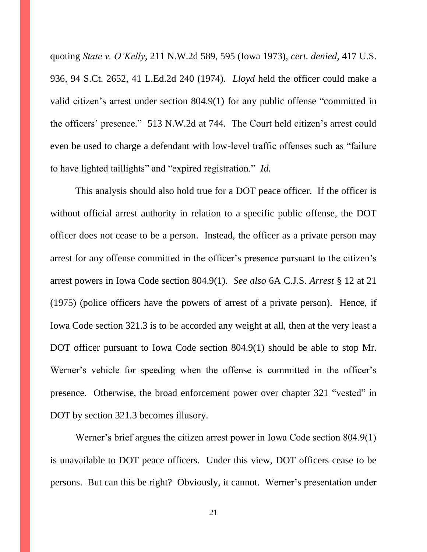quoting *State v. O'Kelly*, 211 N.W.2d 589, 595 (Iowa 1973), *cert. denied*, 417 U.S. 936, 94 S.Ct. 2652, 41 L.Ed.2d 240 (1974). *Lloyd* held the officer could make a valid citizen's arrest under section 804.9(1) for any public offense "committed in the officers' presence." 513 N.W.2d at 744. The Court held citizen's arrest could even be used to charge a defendant with low-level traffic offenses such as "failure to have lighted taillights" and "expired registration." *Id.*

This analysis should also hold true for a DOT peace officer. If the officer is without official arrest authority in relation to a specific public offense, the DOT officer does not cease to be a person. Instead, the officer as a private person may arrest for any offense committed in the officer's presence pursuant to the citizen's arrest powers in Iowa Code section 804.9(1). *See also* 6A C.J.S. *Arrest* § 12 at 21 (1975) (police officers have the powers of arrest of a private person). Hence, if Iowa Code section 321.3 is to be accorded any weight at all, then at the very least a DOT officer pursuant to Iowa Code section 804.9(1) should be able to stop Mr. Werner's vehicle for speeding when the offense is committed in the officer's presence. Otherwise, the broad enforcement power over chapter 321 "vested" in DOT by section 321.3 becomes illusory.

Werner's brief argues the citizen arrest power in Iowa Code section 804.9(1) is unavailable to DOT peace officers. Under this view, DOT officers cease to be persons. But can this be right? Obviously, it cannot. Werner's presentation under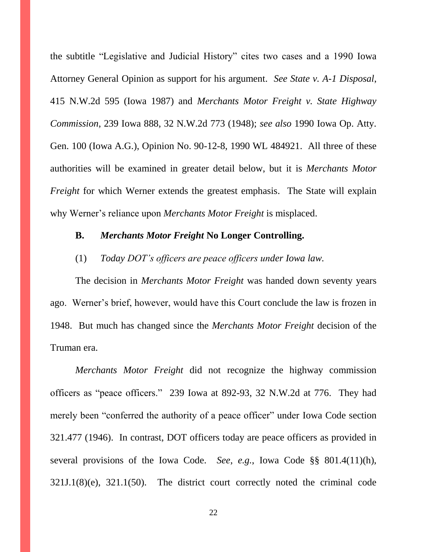the subtitle "Legislative and Judicial History" cites two cases and a 1990 Iowa Attorney General Opinion as support for his argument. *See State v. A-1 Disposal*, 415 N.W.2d 595 (Iowa 1987) and *Merchants Motor Freight v. State Highway Commission*, 239 Iowa 888, 32 N.W.2d 773 (1948); *see also* 1990 Iowa Op. Atty. Gen. 100 (Iowa A.G.), Opinion No. 90-12-8, 1990 WL 484921. All three of these authorities will be examined in greater detail below, but it is *Merchants Motor Freight* for which Werner extends the greatest emphasis. The State will explain why Werner's reliance upon *Merchants Motor Freight* is misplaced.

#### **B.** *Merchants Motor Freight* **No Longer Controlling.**

# (1) *Today DOT's officers are peace officers under Iowa law.*

The decision in *Merchants Motor Freight* was handed down seventy years ago. Werner's brief, however, would have this Court conclude the law is frozen in 1948. But much has changed since the *Merchants Motor Freight* decision of the Truman era.

*Merchants Motor Freight* did not recognize the highway commission officers as "peace officers." 239 Iowa at 892-93, 32 N.W.2d at 776. They had merely been "conferred the authority of a peace officer" under Iowa Code section 321.477 (1946). In contrast, DOT officers today are peace officers as provided in several provisions of the Iowa Code. *See*, *e.g.*, Iowa Code §§ 801.4(11)(h), 321J.1(8)(e), 321.1(50). The district court correctly noted the criminal code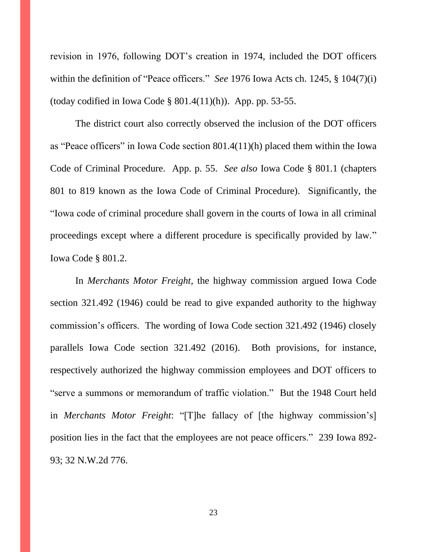revision in 1976, following DOT's creation in 1974, included the DOT officers within the definition of "Peace officers." *See* 1976 Iowa Acts ch. 1245, § 104(7)(i) (today codified in Iowa Code  $\S$  801.4(11)(h)). App. pp. 53-55.

The district court also correctly observed the inclusion of the DOT officers as "Peace officers" in Iowa Code section 801.4(11)(h) placed them within the Iowa Code of Criminal Procedure. App. p. 55. *See also* Iowa Code § 801.1 (chapters 801 to 819 known as the Iowa Code of Criminal Procedure). Significantly, the "Iowa code of criminal procedure shall govern in the courts of Iowa in all criminal proceedings except where a different procedure is specifically provided by law." Iowa Code § 801.2.

In *Merchants Motor Freight*, the highway commission argued Iowa Code section 321.492 (1946) could be read to give expanded authority to the highway commission's officers. The wording of Iowa Code section 321.492 (1946) closely parallels Iowa Code section 321.492 (2016). Both provisions, for instance, respectively authorized the highway commission employees and DOT officers to "serve a summons or memorandum of traffic violation." But the 1948 Court held in *Merchants Motor Freight*: "[T]he fallacy of [the highway commission's] position lies in the fact that the employees are not peace officers." 239 Iowa 892- 93; 32 N.W.2d 776.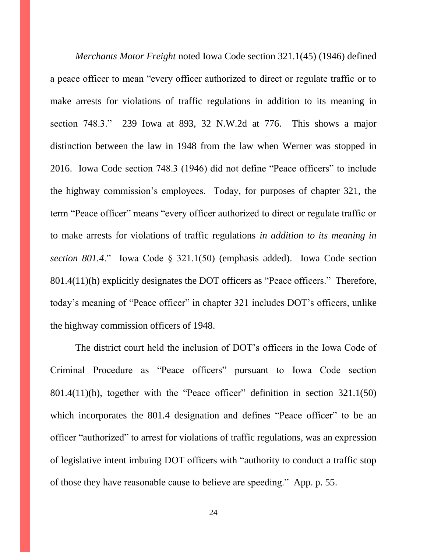*Merchants Motor Freight* noted Iowa Code section 321.1(45) (1946) defined a peace officer to mean "every officer authorized to direct or regulate traffic or to make arrests for violations of traffic regulations in addition to its meaning in section 748.3." 239 Iowa at 893, 32 N.W.2d at 776. This shows a major distinction between the law in 1948 from the law when Werner was stopped in 2016. Iowa Code section 748.3 (1946) did not define "Peace officers" to include the highway commission's employees. Today, for purposes of chapter 321, the term "Peace officer" means "every officer authorized to direct or regulate traffic or to make arrests for violations of traffic regulations *in addition to its meaning in section 801.4*." Iowa Code § 321.1(50) (emphasis added). Iowa Code section 801.4(11)(h) explicitly designates the DOT officers as "Peace officers." Therefore, today's meaning of "Peace officer" in chapter 321 includes DOT's officers, unlike the highway commission officers of 1948.

The district court held the inclusion of DOT's officers in the Iowa Code of Criminal Procedure as "Peace officers" pursuant to Iowa Code section 801.4(11)(h), together with the "Peace officer" definition in section 321.1(50) which incorporates the 801.4 designation and defines "Peace officer" to be an officer "authorized" to arrest for violations of traffic regulations, was an expression of legislative intent imbuing DOT officers with "authority to conduct a traffic stop of those they have reasonable cause to believe are speeding." App. p. 55.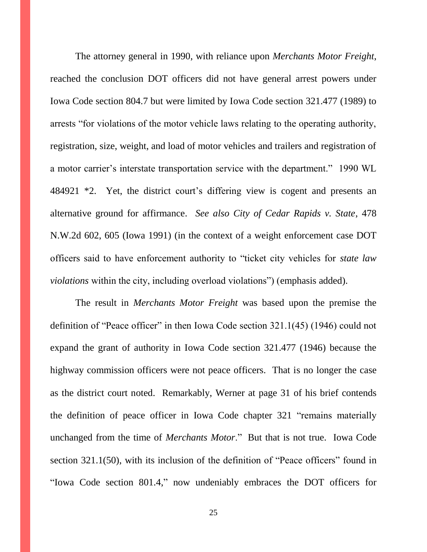The attorney general in 1990, with reliance upon *Merchants Motor Freight*, reached the conclusion DOT officers did not have general arrest powers under Iowa Code section 804.7 but were limited by Iowa Code section 321.477 (1989) to arrests "for violations of the motor vehicle laws relating to the operating authority, registration, size, weight, and load of motor vehicles and trailers and registration of a motor carrier's interstate transportation service with the department." 1990 WL 484921 \*2. Yet, the district court's differing view is cogent and presents an alternative ground for affirmance. *See also City of Cedar Rapids v. State*, 478 N.W.2d 602, 605 (Iowa 1991) (in the context of a weight enforcement case DOT officers said to have enforcement authority to "ticket city vehicles for *state law violations* within the city, including overload violations") (emphasis added).

The result in *Merchants Motor Freight* was based upon the premise the definition of "Peace officer" in then Iowa Code section 321.1(45) (1946) could not expand the grant of authority in Iowa Code section 321.477 (1946) because the highway commission officers were not peace officers. That is no longer the case as the district court noted. Remarkably, Werner at page 31 of his brief contends the definition of peace officer in Iowa Code chapter 321 "remains materially unchanged from the time of *Merchants Motor*." But that is not true. Iowa Code section 321.1(50), with its inclusion of the definition of "Peace officers" found in "Iowa Code section 801.4," now undeniably embraces the DOT officers for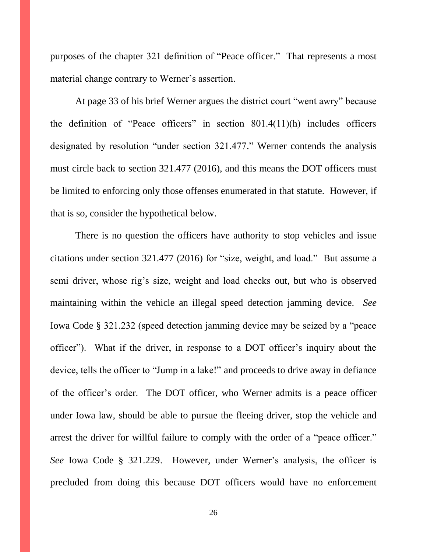purposes of the chapter 321 definition of "Peace officer." That represents a most material change contrary to Werner's assertion.

At page 33 of his brief Werner argues the district court "went awry" because the definition of "Peace officers" in section 801.4(11)(h) includes officers designated by resolution "under section 321.477." Werner contends the analysis must circle back to section 321.477 (2016), and this means the DOT officers must be limited to enforcing only those offenses enumerated in that statute. However, if that is so, consider the hypothetical below.

There is no question the officers have authority to stop vehicles and issue citations under section 321.477 (2016) for "size, weight, and load." But assume a semi driver, whose rig's size, weight and load checks out, but who is observed maintaining within the vehicle an illegal speed detection jamming device. *See*  Iowa Code § 321.232 (speed detection jamming device may be seized by a "peace officer"). What if the driver, in response to a DOT officer's inquiry about the device, tells the officer to "Jump in a lake!" and proceeds to drive away in defiance of the officer's order. The DOT officer, who Werner admits is a peace officer under Iowa law, should be able to pursue the fleeing driver, stop the vehicle and arrest the driver for willful failure to comply with the order of a "peace officer." *See* Iowa Code § 321.229. However, under Werner's analysis, the officer is precluded from doing this because DOT officers would have no enforcement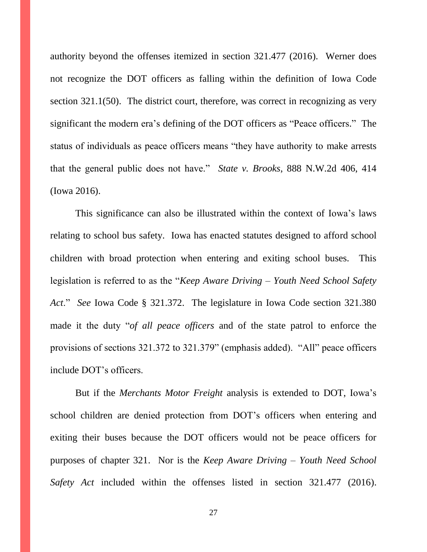authority beyond the offenses itemized in section 321.477 (2016). Werner does not recognize the DOT officers as falling within the definition of Iowa Code section 321.1(50). The district court, therefore, was correct in recognizing as very significant the modern era's defining of the DOT officers as "Peace officers." The status of individuals as peace officers means "they have authority to make arrests that the general public does not have." *State v. Brooks*, 888 N.W.2d 406, 414 (Iowa 2016).

This significance can also be illustrated within the context of Iowa's laws relating to school bus safety. Iowa has enacted statutes designed to afford school children with broad protection when entering and exiting school buses. This legislation is referred to as the "*Keep Aware Driving – Youth Need School Safety Act*." *See* Iowa Code § 321.372. The legislature in Iowa Code section 321.380 made it the duty "*of all peace officers* and of the state patrol to enforce the provisions of sections 321.372 to 321.379" (emphasis added). "All" peace officers include DOT's officers.

But if the *Merchants Motor Freight* analysis is extended to DOT, Iowa's school children are denied protection from DOT's officers when entering and exiting their buses because the DOT officers would not be peace officers for purposes of chapter 321. Nor is the *Keep Aware Driving – Youth Need School Safety Act* included within the offenses listed in section 321.477 (2016).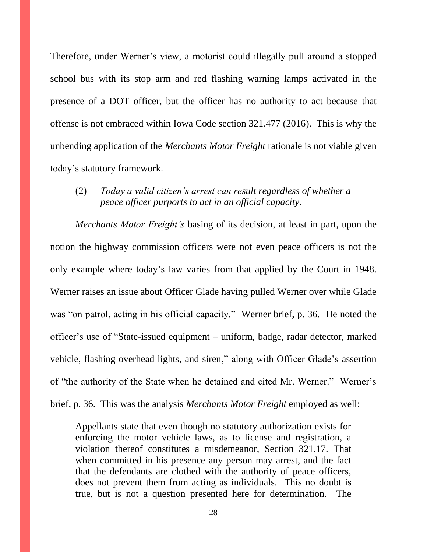Therefore, under Werner's view, a motorist could illegally pull around a stopped school bus with its stop arm and red flashing warning lamps activated in the presence of a DOT officer, but the officer has no authority to act because that offense is not embraced within Iowa Code section 321.477 (2016). This is why the unbending application of the *Merchants Motor Freight* rationale is not viable given today's statutory framework.

# (2) *Today a valid citizen's arrest can result regardless of whether a peace officer purports to act in an official capacity.*

*Merchants Motor Freight's* basing of its decision, at least in part, upon the notion the highway commission officers were not even peace officers is not the only example where today's law varies from that applied by the Court in 1948. Werner raises an issue about Officer Glade having pulled Werner over while Glade was "on patrol, acting in his official capacity." Werner brief, p. 36. He noted the officer's use of "State-issued equipment – uniform, badge, radar detector, marked vehicle, flashing overhead lights, and siren," along with Officer Glade's assertion of "the authority of the State when he detained and cited Mr. Werner." Werner's brief, p. 36. This was the analysis *Merchants Motor Freight* employed as well:

Appellants state that even though no statutory authorization exists for enforcing the motor vehicle laws, as to license and registration, a violation thereof constitutes a misdemeanor, Section 321.17. That when committed in his presence any person may arrest, and the fact that the defendants are clothed with the authority of peace officers, does not prevent them from acting as individuals. This no doubt is true, but is not a question presented here for determination. The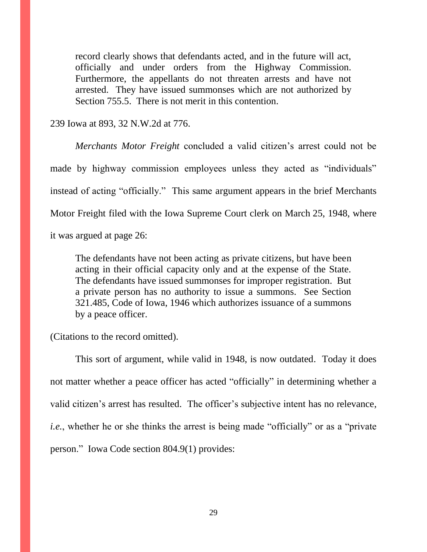record clearly shows that defendants acted, and in the future will act, officially and under orders from the Highway Commission. Furthermore, the appellants do not threaten arrests and have not arrested. They have issued summonses which are not authorized by Section 755.5. There is not merit in this contention.

239 Iowa at 893, 32 N.W.2d at 776.

*Merchants Motor Freight* concluded a valid citizen's arrest could not be made by highway commission employees unless they acted as "individuals" instead of acting "officially." This same argument appears in the brief Merchants Motor Freight filed with the Iowa Supreme Court clerk on March 25, 1948, where

it was argued at page 26:

The defendants have not been acting as private citizens, but have been acting in their official capacity only and at the expense of the State. The defendants have issued summonses for improper registration. But a private person has no authority to issue a summons. See Section 321.485, Code of Iowa, 1946 which authorizes issuance of a summons by a peace officer.

(Citations to the record omitted).

This sort of argument, while valid in 1948, is now outdated. Today it does not matter whether a peace officer has acted "officially" in determining whether a valid citizen's arrest has resulted. The officer's subjective intent has no relevance, *i.e.*, whether he or she thinks the arrest is being made "officially" or as a "private" person." Iowa Code section 804.9(1) provides: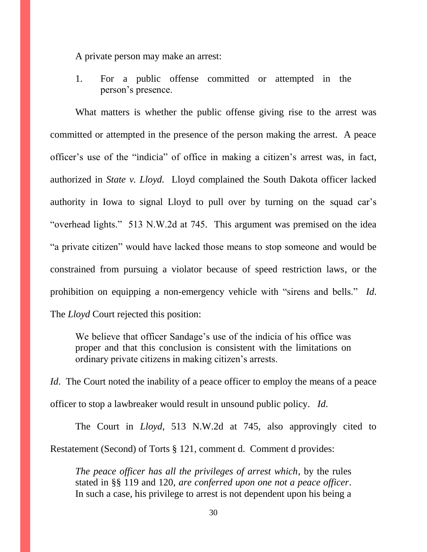A private person may make an arrest:

1. For a public offense committed or attempted in the person's presence.

What matters is whether the public offense giving rise to the arrest was committed or attempted in the presence of the person making the arrest. A peace officer's use of the "indicia" of office in making a citizen's arrest was, in fact, authorized in *State v. Lloyd.* Lloyd complained the South Dakota officer lacked authority in Iowa to signal Lloyd to pull over by turning on the squad car's "overhead lights." 513 N.W.2d at 745*.* This argument was premised on the idea "a private citizen" would have lacked those means to stop someone and would be constrained from pursuing a violator because of speed restriction laws, or the prohibition on equipping a non-emergency vehicle with "sirens and bells." *Id*. The *Lloyd* Court rejected this position:

We believe that officer Sandage's use of the indicia of his office was proper and that this conclusion is consistent with the limitations on ordinary private citizens in making citizen's arrests.

*Id.* The Court noted the inability of a peace officer to employ the means of a peace officer to stop a lawbreaker would result in unsound public policy. *Id*.

The Court in *Lloyd*, 513 N.W.2d at 745, also approvingly cited to Restatement (Second) of Torts § 121, comment d. Comment d provides:

*The peace officer has all the privileges of arrest which*, by the rules stated in §§ 119 and 120, *are conferred upon one not a peace officer*. In such a case, his privilege to arrest is not dependent upon his being a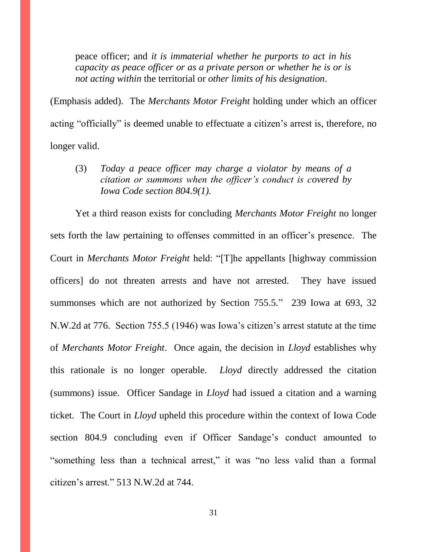peace officer; and *it is immaterial whether he purports to act in his capacity as peace officer or as a private person or whether he is or is not acting within* the territorial or *other limits of his designation*.

(Emphasis added). The *Merchants Motor Freight* holding under which an officer acting "officially" is deemed unable to effectuate a citizen's arrest is, therefore, no longer valid.

(3) *Today a peace officer may charge a violator by means of a citation or summons when the officer's conduct is covered by Iowa Code section 804.9(1).*

Yet a third reason exists for concluding *Merchants Motor Freight* no longer sets forth the law pertaining to offenses committed in an officer's presence. The Court in *Merchants Motor Freight* held: "[T]he appellants [highway commission officers] do not threaten arrests and have not arrested. They have issued summonses which are not authorized by Section 755.5." 239 Iowa at 693, 32 N.W.2d at 776. Section 755.5 (1946) was Iowa's citizen's arrest statute at the time of *Merchants Motor Freight*. Once again, the decision in *Lloyd* establishes why this rationale is no longer operable. *Lloyd* directly addressed the citation (summons) issue. Officer Sandage in *Lloyd* had issued a citation and a warning ticket. The Court in *Lloyd* upheld this procedure within the context of Iowa Code section 804.9 concluding even if Officer Sandage's conduct amounted to "something less than a technical arrest," it was "no less valid than a formal citizen's arrest." 513 N.W.2d at 744.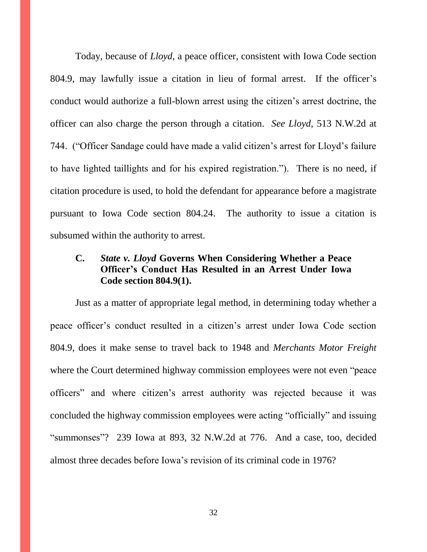Today, because of *Lloyd*, a peace officer, consistent with Iowa Code section 804.9, may lawfully issue a citation in lieu of formal arrest. If the officer's conduct would authorize a full-blown arrest using the citizen's arrest doctrine, the officer can also charge the person through a citation. *See Lloyd*, 513 N.W.2d at 744. ("Officer Sandage could have made a valid citizen's arrest for Lloyd's failure to have lighted taillights and for his expired registration."). There is no need, if citation procedure is used, to hold the defendant for appearance before a magistrate pursuant to Iowa Code section 804.24. The authority to issue a citation is subsumed within the authority to arrest.

### **C.** *State v. Lloyd* **Governs When Considering Whether a Peace Officer's Conduct Has Resulted in an Arrest Under Iowa Code section 804.9(1).**

Just as a matter of appropriate legal method, in determining today whether a peace officer's conduct resulted in a citizen's arrest under Iowa Code section 804.9, does it make sense to travel back to 1948 and *Merchants Motor Freight* where the Court determined highway commission employees were not even "peace officers" and where citizen's arrest authority was rejected because it was concluded the highway commission employees were acting "officially" and issuing "summonses"? 239 Iowa at 893, 32 N.W.2d at 776. And a case, too, decided almost three decades before Iowa's revision of its criminal code in 1976?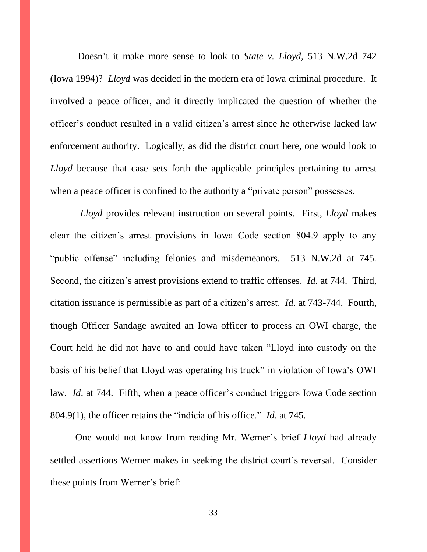Doesn't it make more sense to look to *State v. Lloyd*, 513 N.W.2d 742 (Iowa 1994)? *Lloyd* was decided in the modern era of Iowa criminal procedure. It involved a peace officer, and it directly implicated the question of whether the officer's conduct resulted in a valid citizen's arrest since he otherwise lacked law enforcement authority. Logically, as did the district court here, one would look to *Lloyd* because that case sets forth the applicable principles pertaining to arrest when a peace officer is confined to the authority a "private person" possesses.

 *Lloyd* provides relevant instruction on several points. First, *Lloyd* makes clear the citizen's arrest provisions in Iowa Code section 804.9 apply to any "public offense" including felonies and misdemeanors. 513 N.W.2d at 745*.*  Second, the citizen's arrest provisions extend to traffic offenses. *Id.* at 744. Third, citation issuance is permissible as part of a citizen's arrest. *Id*. at 743-744. Fourth, though Officer Sandage awaited an Iowa officer to process an OWI charge, the Court held he did not have to and could have taken "Lloyd into custody on the basis of his belief that Lloyd was operating his truck" in violation of Iowa's OWI law. *Id*. at 744. Fifth, when a peace officer's conduct triggers Iowa Code section 804.9(1), the officer retains the "indicia of his office." *Id*. at 745.

One would not know from reading Mr. Werner's brief *Lloyd* had already settled assertions Werner makes in seeking the district court's reversal. Consider these points from Werner's brief: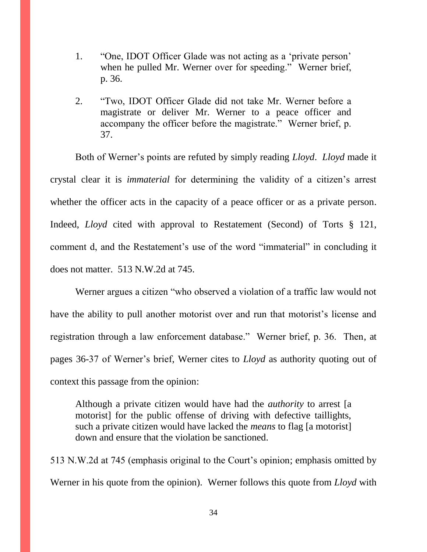- 1. "One, IDOT Officer Glade was not acting as a 'private person' when he pulled Mr. Werner over for speeding." Werner brief, p. 36.
- 2. "Two, IDOT Officer Glade did not take Mr. Werner before a magistrate or deliver Mr. Werner to a peace officer and accompany the officer before the magistrate." Werner brief, p. 37.

Both of Werner's points are refuted by simply reading *Lloyd*. *Lloyd* made it crystal clear it is *immaterial* for determining the validity of a citizen's arrest whether the officer acts in the capacity of a peace officer or as a private person. Indeed, *Lloyd* cited with approval to Restatement (Second) of Torts § 121, comment d, and the Restatement's use of the word "immaterial" in concluding it does not matter. 513 N.W.2d at 745.

Werner argues a citizen "who observed a violation of a traffic law would not have the ability to pull another motorist over and run that motorist's license and registration through a law enforcement database." Werner brief, p. 36. Then, at pages 36-37 of Werner's brief, Werner cites to *Lloyd* as authority quoting out of context this passage from the opinion:

Although a private citizen would have had the *authority* to arrest [a motorist] for the public offense of driving with defective taillights, such a private citizen would have lacked the *means* to flag [a motorist] down and ensure that the violation be sanctioned.

513 N.W.2d at 745 (emphasis original to the Court's opinion; emphasis omitted by Werner in his quote from the opinion). Werner follows this quote from *Lloyd* with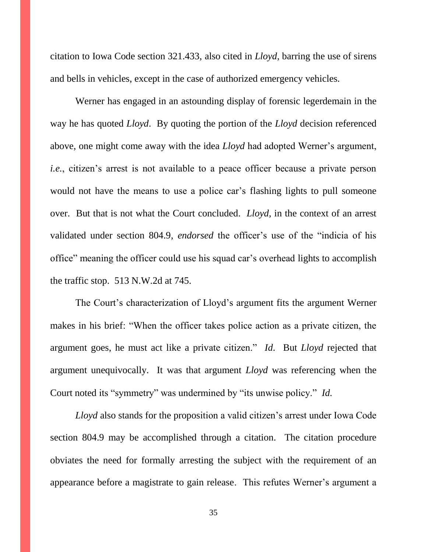citation to Iowa Code section 321.433, also cited in *Lloyd*, barring the use of sirens and bells in vehicles, except in the case of authorized emergency vehicles.

Werner has engaged in an astounding display of forensic legerdemain in the way he has quoted *Lloyd*. By quoting the portion of the *Lloyd* decision referenced above, one might come away with the idea *Lloyd* had adopted Werner's argument, *i.e.*, citizen's arrest is not available to a peace officer because a private person would not have the means to use a police car's flashing lights to pull someone over. But that is not what the Court concluded. *Lloyd*, in the context of an arrest validated under section 804.9, *endorsed* the officer's use of the "indicia of his office" meaning the officer could use his squad car's overhead lights to accomplish the traffic stop. 513 N.W.2d at 745.

The Court's characterization of Lloyd's argument fits the argument Werner makes in his brief: "When the officer takes police action as a private citizen, the argument goes, he must act like a private citizen." *Id*. But *Lloyd* rejected that argument unequivocally. It was that argument *Lloyd* was referencing when the Court noted its "symmetry" was undermined by "its unwise policy." *Id.*

*Lloyd* also stands for the proposition a valid citizen's arrest under Iowa Code section 804.9 may be accomplished through a citation. The citation procedure obviates the need for formally arresting the subject with the requirement of an appearance before a magistrate to gain release. This refutes Werner's argument a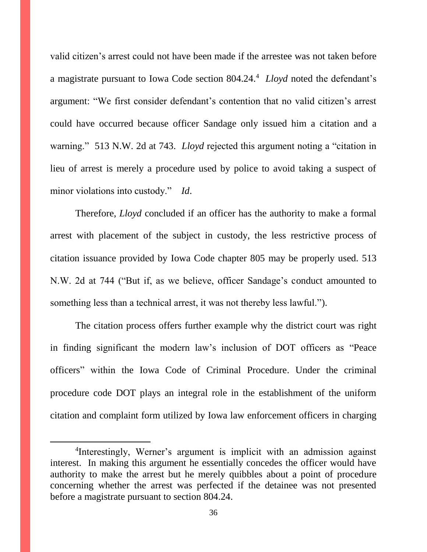valid citizen's arrest could not have been made if the arrestee was not taken before a magistrate pursuant to Iowa Code section 804.24.<sup>4</sup> *Lloyd* noted the defendant's argument: "We first consider defendant's contention that no valid citizen's arrest could have occurred because officer Sandage only issued him a citation and a warning." 513 N.W. 2d at 743. *Lloyd* rejected this argument noting a "citation in lieu of arrest is merely a procedure used by police to avoid taking a suspect of minor violations into custody." *Id*.

Therefore, *Lloyd* concluded if an officer has the authority to make a formal arrest with placement of the subject in custody, the less restrictive process of citation issuance provided by Iowa Code chapter 805 may be properly used. 513 N.W. 2d at 744 ("But if, as we believe, officer Sandage's conduct amounted to something less than a technical arrest, it was not thereby less lawful.").

The citation process offers further example why the district court was right in finding significant the modern law's inclusion of DOT officers as "Peace officers" within the Iowa Code of Criminal Procedure. Under the criminal procedure code DOT plays an integral role in the establishment of the uniform citation and complaint form utilized by Iowa law enforcement officers in charging

<sup>4</sup> Interestingly, Werner's argument is implicit with an admission against interest. In making this argument he essentially concedes the officer would have authority to make the arrest but he merely quibbles about a point of procedure concerning whether the arrest was perfected if the detainee was not presented before a magistrate pursuant to section 804.24.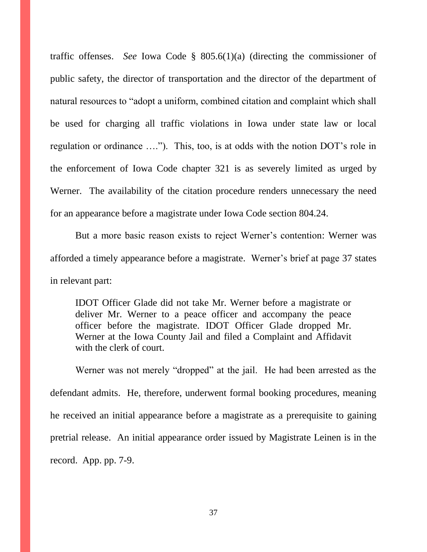traffic offenses. *See* Iowa Code § 805.6(1)(a) (directing the commissioner of public safety, the director of transportation and the director of the department of natural resources to "adopt a uniform, combined citation and complaint which shall be used for charging all traffic violations in Iowa under state law or local regulation or ordinance …."). This, too, is at odds with the notion DOT's role in the enforcement of Iowa Code chapter 321 is as severely limited as urged by Werner. The availability of the citation procedure renders unnecessary the need for an appearance before a magistrate under Iowa Code section 804.24.

But a more basic reason exists to reject Werner's contention: Werner was afforded a timely appearance before a magistrate. Werner's brief at page 37 states in relevant part:

IDOT Officer Glade did not take Mr. Werner before a magistrate or deliver Mr. Werner to a peace officer and accompany the peace officer before the magistrate. IDOT Officer Glade dropped Mr. Werner at the Iowa County Jail and filed a Complaint and Affidavit with the clerk of court.

Werner was not merely "dropped" at the jail. He had been arrested as the defendant admits. He, therefore, underwent formal booking procedures, meaning he received an initial appearance before a magistrate as a prerequisite to gaining pretrial release. An initial appearance order issued by Magistrate Leinen is in the record. App. pp. 7-9.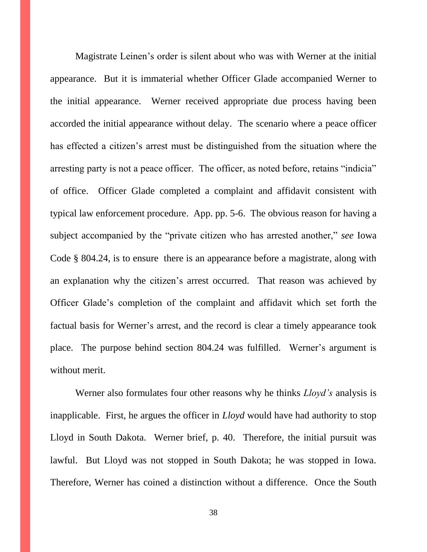Magistrate Leinen's order is silent about who was with Werner at the initial appearance. But it is immaterial whether Officer Glade accompanied Werner to the initial appearance. Werner received appropriate due process having been accorded the initial appearance without delay. The scenario where a peace officer has effected a citizen's arrest must be distinguished from the situation where the arresting party is not a peace officer. The officer, as noted before, retains "indicia" of office. Officer Glade completed a complaint and affidavit consistent with typical law enforcement procedure. App. pp. 5-6. The obvious reason for having a subject accompanied by the "private citizen who has arrested another," *see* Iowa Code § 804.24, is to ensure there is an appearance before a magistrate, along with an explanation why the citizen's arrest occurred. That reason was achieved by Officer Glade's completion of the complaint and affidavit which set forth the factual basis for Werner's arrest, and the record is clear a timely appearance took place. The purpose behind section 804.24 was fulfilled. Werner's argument is without merit.

Werner also formulates four other reasons why he thinks *Lloyd's* analysis is inapplicable. First, he argues the officer in *Lloyd* would have had authority to stop Lloyd in South Dakota. Werner brief, p. 40. Therefore, the initial pursuit was lawful. But Lloyd was not stopped in South Dakota; he was stopped in Iowa. Therefore, Werner has coined a distinction without a difference. Once the South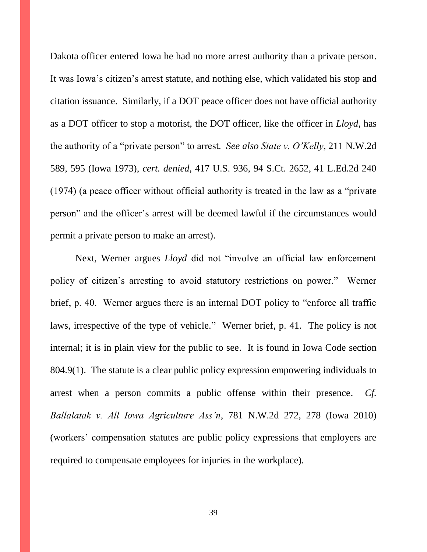Dakota officer entered Iowa he had no more arrest authority than a private person. It was Iowa's citizen's arrest statute, and nothing else, which validated his stop and citation issuance. Similarly, if a DOT peace officer does not have official authority as a DOT officer to stop a motorist, the DOT officer, like the officer in *Lloyd*, has the authority of a "private person" to arrest. *See also State v. O'Kelly*, 211 N.W.2d 589, 595 (Iowa 1973), *cert. denied*, 417 U.S. 936, 94 S.Ct. 2652, 41 L.Ed.2d 240 (1974) (a peace officer without official authority is treated in the law as a "private person" and the officer's arrest will be deemed lawful if the circumstances would permit a private person to make an arrest).

Next, Werner argues *Lloyd* did not "involve an official law enforcement policy of citizen's arresting to avoid statutory restrictions on power." Werner brief, p. 40. Werner argues there is an internal DOT policy to "enforce all traffic laws, irrespective of the type of vehicle." Werner brief, p. 41. The policy is not internal; it is in plain view for the public to see. It is found in Iowa Code section 804.9(1). The statute is a clear public policy expression empowering individuals to arrest when a person commits a public offense within their presence. *Cf. Ballalatak v. All Iowa Agriculture Ass'n*, 781 N.W.2d 272, 278 (Iowa 2010) (workers' compensation statutes are public policy expressions that employers are required to compensate employees for injuries in the workplace).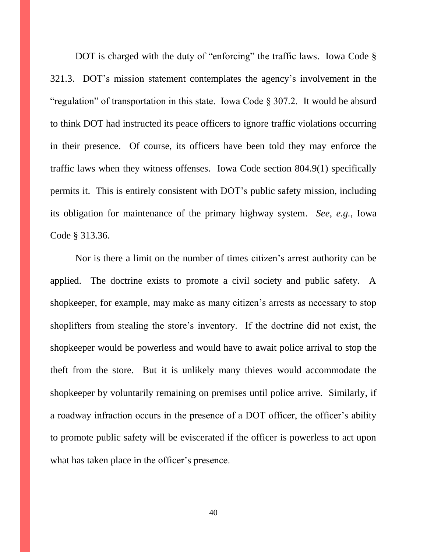DOT is charged with the duty of "enforcing" the traffic laws. Iowa Code § 321.3. DOT's mission statement contemplates the agency's involvement in the "regulation" of transportation in this state. Iowa Code § 307.2. It would be absurd to think DOT had instructed its peace officers to ignore traffic violations occurring in their presence. Of course, its officers have been told they may enforce the traffic laws when they witness offenses. Iowa Code section 804.9(1) specifically permits it. This is entirely consistent with DOT's public safety mission, including its obligation for maintenance of the primary highway system. *See*, *e.g.*, Iowa Code § 313.36.

Nor is there a limit on the number of times citizen's arrest authority can be applied. The doctrine exists to promote a civil society and public safety. A shopkeeper, for example, may make as many citizen's arrests as necessary to stop shoplifters from stealing the store's inventory. If the doctrine did not exist, the shopkeeper would be powerless and would have to await police arrival to stop the theft from the store. But it is unlikely many thieves would accommodate the shopkeeper by voluntarily remaining on premises until police arrive. Similarly, if a roadway infraction occurs in the presence of a DOT officer, the officer's ability to promote public safety will be eviscerated if the officer is powerless to act upon what has taken place in the officer's presence.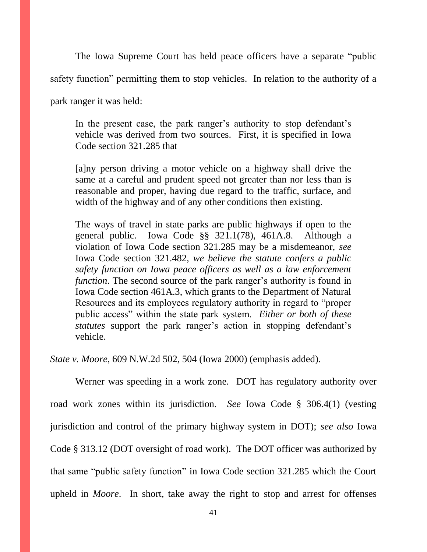The Iowa Supreme Court has held peace officers have a separate "public

safety function" permitting them to stop vehicles. In relation to the authority of a

park ranger it was held:

In the present case, the park ranger's authority to stop defendant's vehicle was derived from two sources. First, it is specified in Iowa Code section 321.285 that

[a]ny person driving a motor vehicle on a highway shall drive the same at a careful and prudent speed not greater than nor less than is reasonable and proper, having due regard to the traffic, surface, and width of the highway and of any other conditions then existing.

The ways of travel in state parks are public highways if open to the general public. Iowa Code §§ 321.1(78), 461A.8. Although a violation of Iowa Code section 321.285 may be a misdemeanor, *see* Iowa Code section 321.482, *we believe the statute confers a public safety function on Iowa peace officers as well as a law enforcement function*. The second source of the park ranger's authority is found in Iowa Code section 461A.3, which grants to the Department of Natural Resources and its employees regulatory authority in regard to "proper public access" within the state park system. *Either or both of these statutes* support the park ranger's action in stopping defendant's vehicle.

*State v. Moore*, 609 N.W.2d 502, 504 (Iowa 2000) (emphasis added).

Werner was speeding in a work zone. DOT has regulatory authority over road work zones within its jurisdiction. *See* Iowa Code § 306.4(1) (vesting jurisdiction and control of the primary highway system in DOT); *see also* Iowa Code § 313.12 (DOT oversight of road work). The DOT officer was authorized by that same "public safety function" in Iowa Code section 321.285 which the Court upheld in *Moore*. In short, take away the right to stop and arrest for offenses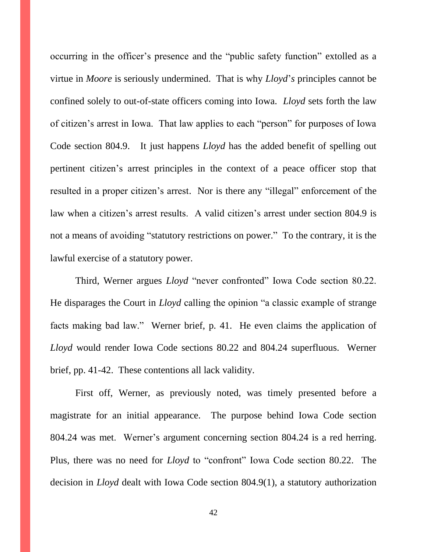occurring in the officer's presence and the "public safety function" extolled as a virtue in *Moore* is seriously undermined. That is why *Lloyd*'*s* principles cannot be confined solely to out-of-state officers coming into Iowa. *Lloyd* sets forth the law of citizen's arrest in Iowa. That law applies to each "person" for purposes of Iowa Code section 804.9. It just happens *Lloyd* has the added benefit of spelling out pertinent citizen's arrest principles in the context of a peace officer stop that resulted in a proper citizen's arrest. Nor is there any "illegal" enforcement of the law when a citizen's arrest results. A valid citizen's arrest under section 804.9 is not a means of avoiding "statutory restrictions on power." To the contrary, it is the lawful exercise of a statutory power.

Third, Werner argues *Lloyd* "never confronted" Iowa Code section 80.22. He disparages the Court in *Lloyd* calling the opinion "a classic example of strange facts making bad law." Werner brief, p. 41. He even claims the application of *Lloyd* would render Iowa Code sections 80.22 and 804.24 superfluous. Werner brief, pp. 41-42. These contentions all lack validity.

First off, Werner, as previously noted, was timely presented before a magistrate for an initial appearance. The purpose behind Iowa Code section 804.24 was met. Werner's argument concerning section 804.24 is a red herring. Plus, there was no need for *Lloyd* to "confront" Iowa Code section 80.22. The decision in *Lloyd* dealt with Iowa Code section 804.9(1), a statutory authorization

42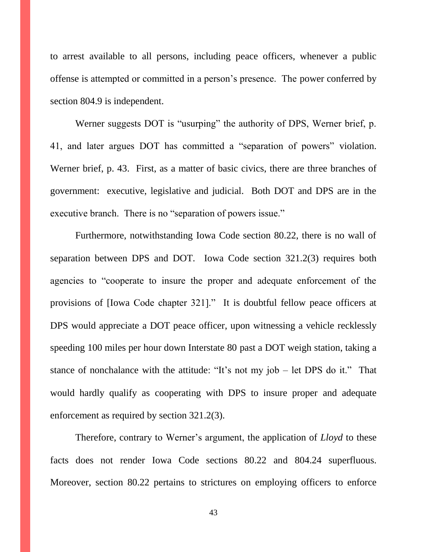to arrest available to all persons, including peace officers, whenever a public offense is attempted or committed in a person's presence. The power conferred by section 804.9 is independent.

Werner suggests DOT is "usurping" the authority of DPS, Werner brief, p. 41, and later argues DOT has committed a "separation of powers" violation. Werner brief, p. 43. First, as a matter of basic civics, there are three branches of government: executive, legislative and judicial. Both DOT and DPS are in the executive branch. There is no "separation of powers issue."

Furthermore, notwithstanding Iowa Code section 80.22, there is no wall of separation between DPS and DOT. Iowa Code section 321.2(3) requires both agencies to "cooperate to insure the proper and adequate enforcement of the provisions of [Iowa Code chapter 321]." It is doubtful fellow peace officers at DPS would appreciate a DOT peace officer, upon witnessing a vehicle recklessly speeding 100 miles per hour down Interstate 80 past a DOT weigh station, taking a stance of nonchalance with the attitude: "It's not my job – let DPS do it." That would hardly qualify as cooperating with DPS to insure proper and adequate enforcement as required by section 321.2(3).

Therefore, contrary to Werner's argument, the application of *Lloyd* to these facts does not render Iowa Code sections 80.22 and 804.24 superfluous. Moreover, section 80.22 pertains to strictures on employing officers to enforce

43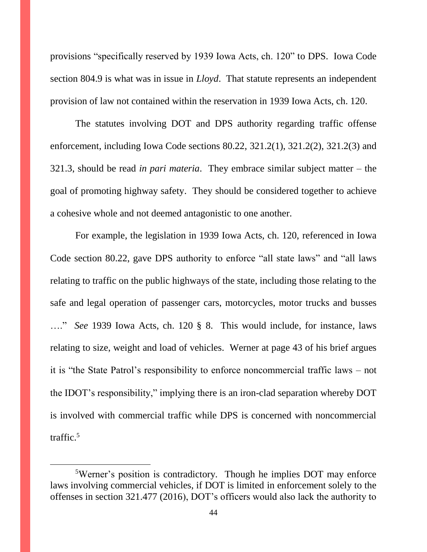provisions "specifically reserved by 1939 Iowa Acts, ch. 120" to DPS. Iowa Code section 804.9 is what was in issue in *Lloyd*. That statute represents an independent provision of law not contained within the reservation in 1939 Iowa Acts, ch. 120.

The statutes involving DOT and DPS authority regarding traffic offense enforcement, including Iowa Code sections 80.22, 321.2(1), 321.2(2), 321.2(3) and 321.3, should be read *in pari materia*. They embrace similar subject matter – the goal of promoting highway safety. They should be considered together to achieve a cohesive whole and not deemed antagonistic to one another.

For example, the legislation in 1939 Iowa Acts, ch. 120, referenced in Iowa Code section 80.22, gave DPS authority to enforce "all state laws" and "all laws relating to traffic on the public highways of the state, including those relating to the safe and legal operation of passenger cars, motorcycles, motor trucks and busses …." *See* 1939 Iowa Acts, ch. 120 § 8. This would include, for instance, laws relating to size, weight and load of vehicles. Werner at page 43 of his brief argues it is "the State Patrol's responsibility to enforce noncommercial traffic laws – not the IDOT's responsibility," implying there is an iron-clad separation whereby DOT is involved with commercial traffic while DPS is concerned with noncommercial traffic. $5$ 

<sup>5</sup>Werner's position is contradictory. Though he implies DOT may enforce laws involving commercial vehicles, if DOT is limited in enforcement solely to the offenses in section 321.477 (2016), DOT's officers would also lack the authority to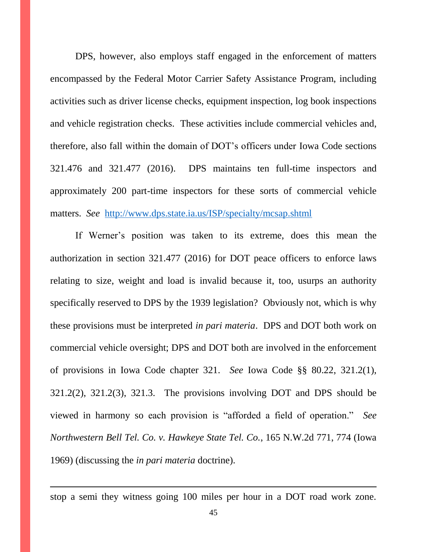DPS, however, also employs staff engaged in the enforcement of matters encompassed by the Federal Motor Carrier Safety Assistance Program, including activities such as driver license checks, equipment inspection, log book inspections and vehicle registration checks. These activities include commercial vehicles and, therefore, also fall within the domain of DOT's officers under Iowa Code sections 321.476 and 321.477 (2016). DPS maintains ten full-time inspectors and approximately 200 part-time inspectors for these sorts of commercial vehicle matters. *See* <http://www.dps.state.ia.us/ISP/specialty/mcsap.shtml>

If Werner's position was taken to its extreme, does this mean the authorization in section 321.477 (2016) for DOT peace officers to enforce laws relating to size, weight and load is invalid because it, too, usurps an authority specifically reserved to DPS by the 1939 legislation? Obviously not, which is why these provisions must be interpreted *in pari materia*. DPS and DOT both work on commercial vehicle oversight; DPS and DOT both are involved in the enforcement of provisions in Iowa Code chapter 321. *See* Iowa Code §§ 80.22, 321.2(1), 321.2(2), 321.2(3), 321.3. The provisions involving DOT and DPS should be viewed in harmony so each provision is "afforded a field of operation." *See Northwestern Bell Tel. Co. v. Hawkeye State Tel. Co.*, 165 N.W.2d 771, 774 (Iowa 1969) (discussing the *in pari materia* doctrine).

stop a semi they witness going 100 miles per hour in a DOT road work zone.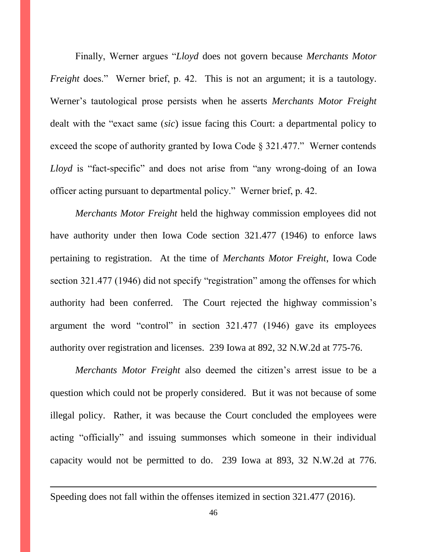Finally, Werner argues "*Lloyd* does not govern because *Merchants Motor Freight* does." Werner brief, p. 42. This is not an argument; it is a tautology. Werner's tautological prose persists when he asserts *Merchants Motor Freight*  dealt with the "exact same (*sic*) issue facing this Court: a departmental policy to exceed the scope of authority granted by Iowa Code § 321.477." Werner contends *Lloyd* is "fact-specific" and does not arise from "any wrong-doing of an Iowa officer acting pursuant to departmental policy." Werner brief, p. 42.

*Merchants Motor Freight* held the highway commission employees did not have authority under then Iowa Code section 321.477 (1946) to enforce laws pertaining to registration. At the time of *Merchants Motor Freight*, Iowa Code section 321.477 (1946) did not specify "registration" among the offenses for which authority had been conferred. The Court rejected the highway commission's argument the word "control" in section 321.477 (1946) gave its employees authority over registration and licenses. 239 Iowa at 892, 32 N.W.2d at 775-76.

*Merchants Motor Freight* also deemed the citizen's arrest issue to be a question which could not be properly considered. But it was not because of some illegal policy. Rather, it was because the Court concluded the employees were acting "officially" and issuing summonses which someone in their individual capacity would not be permitted to do. 239 Iowa at 893, 32 N.W.2d at 776.

Speeding does not fall within the offenses itemized in section 321.477 (2016).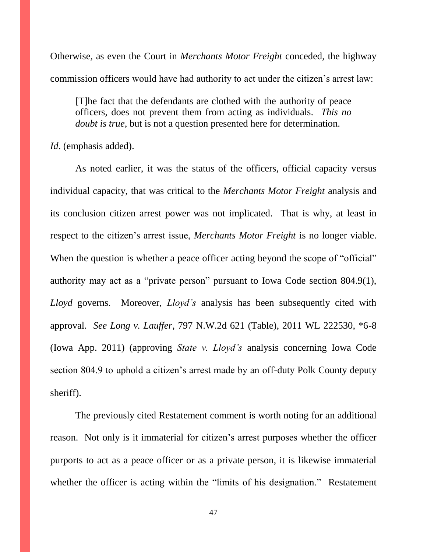Otherwise, as even the Court in *Merchants Motor Freight* conceded, the highway commission officers would have had authority to act under the citizen's arrest law:

[T]he fact that the defendants are clothed with the authority of peace officers, does not prevent them from acting as individuals. *This no doubt is true*, but is not a question presented here for determination.

*Id*. (emphasis added).

As noted earlier, it was the status of the officers, official capacity versus individual capacity, that was critical to the *Merchants Motor Freight* analysis and its conclusion citizen arrest power was not implicated. That is why, at least in respect to the citizen's arrest issue, *Merchants Motor Freight* is no longer viable. When the question is whether a peace officer acting beyond the scope of "official" authority may act as a "private person" pursuant to Iowa Code section 804.9(1), *Lloyd* governs. Moreover, *Lloyd's* analysis has been subsequently cited with approval. *See Long v. Lauffer*, 797 N.W.2d 621 (Table), 2011 WL 222530, \*6-8 (Iowa App. 2011) (approving *State v. Lloyd's* analysis concerning Iowa Code section 804.9 to uphold a citizen's arrest made by an off-duty Polk County deputy sheriff).

The previously cited Restatement comment is worth noting for an additional reason. Not only is it immaterial for citizen's arrest purposes whether the officer purports to act as a peace officer or as a private person, it is likewise immaterial whether the officer is acting within the "limits of his designation." Restatement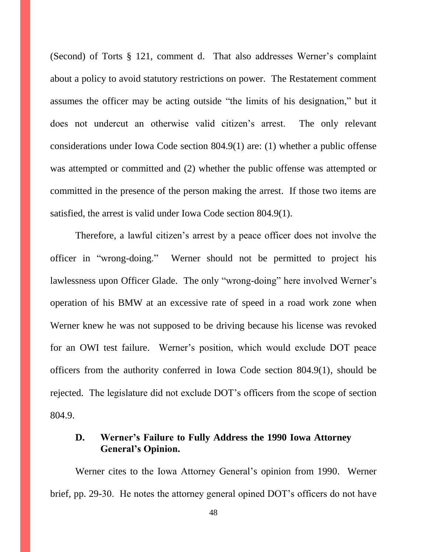(Second) of Torts § 121, comment d. That also addresses Werner's complaint about a policy to avoid statutory restrictions on power. The Restatement comment assumes the officer may be acting outside "the limits of his designation," but it does not undercut an otherwise valid citizen's arrest. The only relevant considerations under Iowa Code section 804.9(1) are: (1) whether a public offense was attempted or committed and (2) whether the public offense was attempted or committed in the presence of the person making the arrest. If those two items are satisfied, the arrest is valid under Iowa Code section 804.9(1).

Therefore, a lawful citizen's arrest by a peace officer does not involve the officer in "wrong-doing." Werner should not be permitted to project his lawlessness upon Officer Glade. The only "wrong-doing" here involved Werner's operation of his BMW at an excessive rate of speed in a road work zone when Werner knew he was not supposed to be driving because his license was revoked for an OWI test failure. Werner's position, which would exclude DOT peace officers from the authority conferred in Iowa Code section 804.9(1), should be rejected. The legislature did not exclude DOT's officers from the scope of section 804.9.

# **D. Werner's Failure to Fully Address the 1990 Iowa Attorney General's Opinion.**

Werner cites to the Iowa Attorney General's opinion from 1990. Werner brief, pp. 29-30. He notes the attorney general opined DOT's officers do not have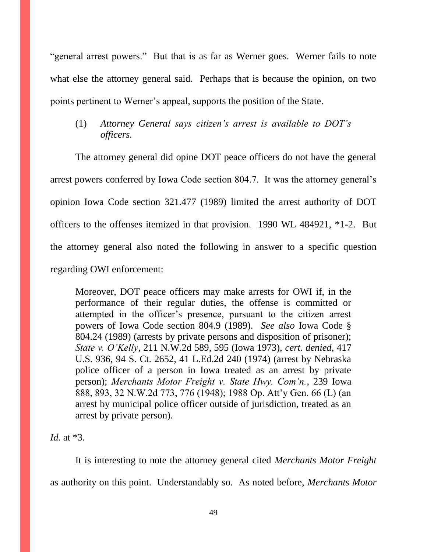"general arrest powers." But that is as far as Werner goes. Werner fails to note what else the attorney general said. Perhaps that is because the opinion, on two points pertinent to Werner's appeal, supports the position of the State.

## (1) *Attorney General says citizen's arrest is available to DOT's officers.*

The attorney general did opine DOT peace officers do not have the general arrest powers conferred by Iowa Code section 804.7. It was the attorney general's opinion Iowa Code section 321.477 (1989) limited the arrest authority of DOT officers to the offenses itemized in that provision. 1990 WL 484921, \*1-2. But the attorney general also noted the following in answer to a specific question regarding OWI enforcement:

Moreover, DOT peace officers may make arrests for OWI if, in the performance of their regular duties, the offense is committed or attempted in the officer's presence, pursuant to the citizen arrest powers of Iowa Code section 804.9 (1989). *See also* Iowa Code § 804.24 (1989) (arrests by private persons and disposition of prisoner); *State v. O'Kelly*, 211 N.W.2d 589, 595 (Iowa 1973), *cert. denied*, 417 U.S. 936, 94 S. Ct. 2652, 41 L.Ed.2d 240 (1974) (arrest by Nebraska police officer of a person in Iowa treated as an arrest by private person); *Merchants Motor Freight v. State Hwy. Com'n.*, 239 Iowa 888, 893, 32 N.W.2d 773, 776 (1948); 1988 Op. Att'y Gen. 66 (L) (an arrest by municipal police officer outside of jurisdiction, treated as an arrest by private person).

*Id.* at \*3.

It is interesting to note the attorney general cited *Merchants Motor Freight* as authority on this point. Understandably so. As noted before, *Merchants Motor*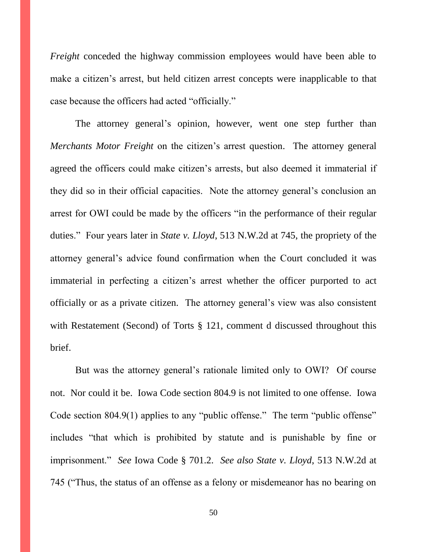*Freight* conceded the highway commission employees would have been able to make a citizen's arrest, but held citizen arrest concepts were inapplicable to that case because the officers had acted "officially."

The attorney general's opinion, however, went one step further than *Merchants Motor Freight* on the citizen's arrest question. The attorney general agreed the officers could make citizen's arrests, but also deemed it immaterial if they did so in their official capacities. Note the attorney general's conclusion an arrest for OWI could be made by the officers "in the performance of their regular duties." Four years later in *State v. Lloyd*, 513 N.W.2d at 745, the propriety of the attorney general's advice found confirmation when the Court concluded it was immaterial in perfecting a citizen's arrest whether the officer purported to act officially or as a private citizen. The attorney general's view was also consistent with Restatement (Second) of Torts § 121, comment d discussed throughout this brief.

But was the attorney general's rationale limited only to OWI? Of course not. Nor could it be. Iowa Code section 804.9 is not limited to one offense. Iowa Code section 804.9(1) applies to any "public offense." The term "public offense" includes "that which is prohibited by statute and is punishable by fine or imprisonment." *See* Iowa Code § 701.2. *See also State v. Lloyd*, 513 N.W.2d at 745 ("Thus, the status of an offense as a felony or misdemeanor has no bearing on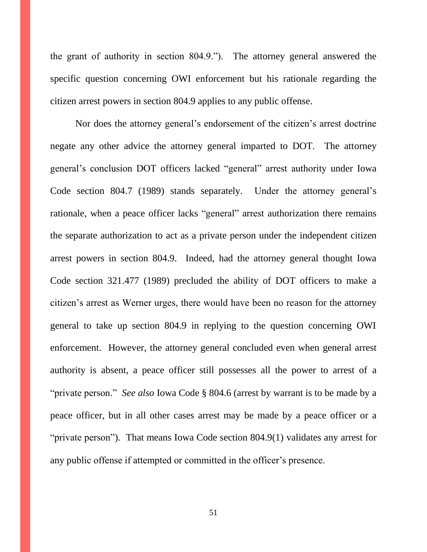the grant of authority in section 804.9."). The attorney general answered the specific question concerning OWI enforcement but his rationale regarding the citizen arrest powers in section 804.9 applies to any public offense.

Nor does the attorney general's endorsement of the citizen's arrest doctrine negate any other advice the attorney general imparted to DOT. The attorney general's conclusion DOT officers lacked "general" arrest authority under Iowa Code section 804.7 (1989) stands separately. Under the attorney general's rationale, when a peace officer lacks "general" arrest authorization there remains the separate authorization to act as a private person under the independent citizen arrest powers in section 804.9. Indeed, had the attorney general thought Iowa Code section 321.477 (1989) precluded the ability of DOT officers to make a citizen's arrest as Werner urges, there would have been no reason for the attorney general to take up section 804.9 in replying to the question concerning OWI enforcement. However, the attorney general concluded even when general arrest authority is absent, a peace officer still possesses all the power to arrest of a "private person." *See also* Iowa Code § 804.6 (arrest by warrant is to be made by a peace officer, but in all other cases arrest may be made by a peace officer or a "private person"). That means Iowa Code section 804.9(1) validates any arrest for any public offense if attempted or committed in the officer's presence.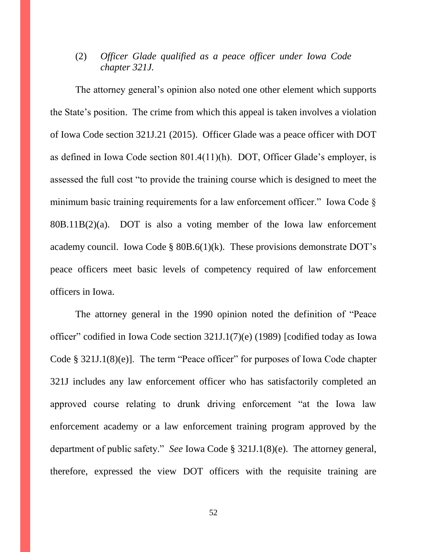# (2) *Officer Glade qualified as a peace officer under Iowa Code chapter 321J.*

The attorney general's opinion also noted one other element which supports the State's position. The crime from which this appeal is taken involves a violation of Iowa Code section 321J.21 (2015). Officer Glade was a peace officer with DOT as defined in Iowa Code section 801.4(11)(h). DOT, Officer Glade's employer, is assessed the full cost "to provide the training course which is designed to meet the minimum basic training requirements for a law enforcement officer." Iowa Code § 80B.11B(2)(a). DOT is also a voting member of the Iowa law enforcement academy council. Iowa Code §  $80B.6(1)(k)$ . These provisions demonstrate DOT's peace officers meet basic levels of competency required of law enforcement officers in Iowa.

The attorney general in the 1990 opinion noted the definition of "Peace officer" codified in Iowa Code section 321J.1(7)(e) (1989) [codified today as Iowa Code § 321J.1(8)(e)]. The term "Peace officer" for purposes of Iowa Code chapter 321J includes any law enforcement officer who has satisfactorily completed an approved course relating to drunk driving enforcement "at the Iowa law enforcement academy or a law enforcement training program approved by the department of public safety." *See* Iowa Code § 321J.1(8)(e). The attorney general, therefore, expressed the view DOT officers with the requisite training are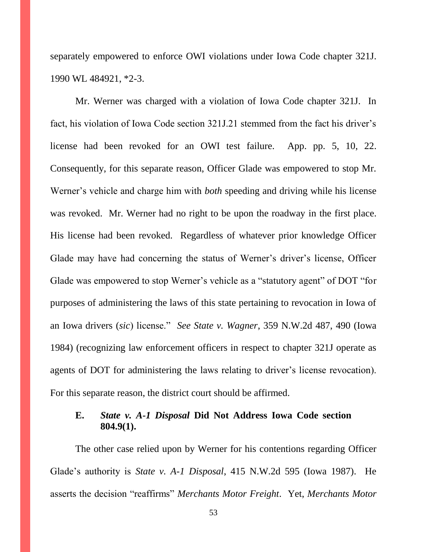separately empowered to enforce OWI violations under Iowa Code chapter 321J. 1990 WL 484921, \*2-3.

Mr. Werner was charged with a violation of Iowa Code chapter 321J. In fact, his violation of Iowa Code section 321J.21 stemmed from the fact his driver's license had been revoked for an OWI test failure. App. pp. 5, 10, 22. Consequently, for this separate reason, Officer Glade was empowered to stop Mr. Werner's vehicle and charge him with *both* speeding and driving while his license was revoked. Mr. Werner had no right to be upon the roadway in the first place. His license had been revoked. Regardless of whatever prior knowledge Officer Glade may have had concerning the status of Werner's driver's license, Officer Glade was empowered to stop Werner's vehicle as a "statutory agent" of DOT "for purposes of administering the laws of this state pertaining to revocation in Iowa of an Iowa drivers (*sic*) license." *See State v. Wagner*, 359 N.W.2d 487, 490 (Iowa 1984) (recognizing law enforcement officers in respect to chapter 321J operate as agents of DOT for administering the laws relating to driver's license revocation). For this separate reason, the district court should be affirmed.

### **E.** *State v. A-1 Disposal* **Did Not Address Iowa Code section 804.9(1).**

The other case relied upon by Werner for his contentions regarding Officer Glade's authority is *State v. A-1 Disposal*, 415 N.W.2d 595 (Iowa 1987). He asserts the decision "reaffirms" *Merchants Motor Freight*. Yet, *Merchants Motor*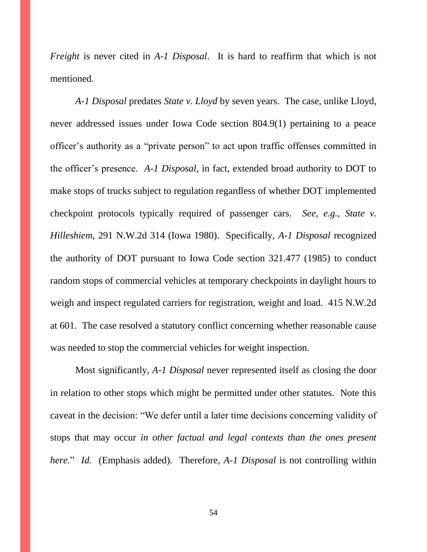*Freight* is never cited in *A-1 Disposal*. It is hard to reaffirm that which is not mentioned.

*A-1 Disposal* predates *State v. Lloyd* by seven years. The case, unlike Lloyd, never addressed issues under Iowa Code section 804.9(1) pertaining to a peace officer's authority as a "private person" to act upon traffic offenses committed in the officer's presence. *A-1 Disposal*, in fact, extended broad authority to DOT to make stops of trucks subject to regulation regardless of whether DOT implemented checkpoint protocols typically required of passenger cars. *See*, *e.g.*, *State v. Hilleshiem*, 291 N.W.2d 314 (Iowa 1980). Specifically, *A-1 Disposal* recognized the authority of DOT pursuant to Iowa Code section 321.477 (1985) to conduct random stops of commercial vehicles at temporary checkpoints in daylight hours to weigh and inspect regulated carriers for registration, weight and load. 415 N.W.2d at 601. The case resolved a statutory conflict concerning whether reasonable cause was needed to stop the commercial vehicles for weight inspection.

Most significantly, *A-1 Disposal* never represented itself as closing the door in relation to other stops which might be permitted under other statutes. Note this caveat in the decision: "We defer until a later time decisions concerning validity of stops that may occur *in other factual and legal contexts than the ones present here.*" *Id.* (Emphasis added). Therefore, *A-1 Disposal* is not controlling within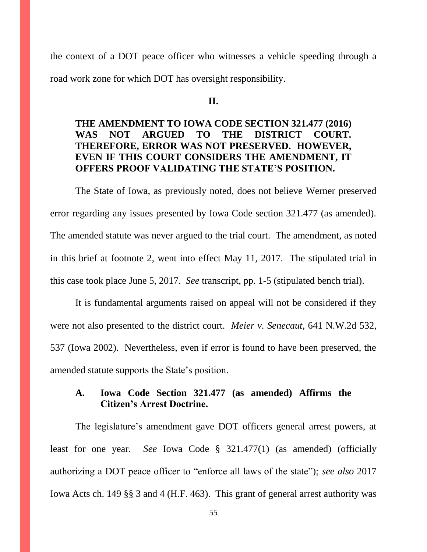the context of a DOT peace officer who witnesses a vehicle speeding through a road work zone for which DOT has oversight responsibility.

#### **II.**

# **THE AMENDMENT TO IOWA CODE SECTION 321.477 (2016) WAS NOT ARGUED TO THE DISTRICT COURT. THEREFORE, ERROR WAS NOT PRESERVED. HOWEVER, EVEN IF THIS COURT CONSIDERS THE AMENDMENT, IT OFFERS PROOF VALIDATING THE STATE'S POSITION.**

The State of Iowa, as previously noted, does not believe Werner preserved error regarding any issues presented by Iowa Code section 321.477 (as amended). The amended statute was never argued to the trial court. The amendment, as noted in this brief at footnote 2, went into effect May 11, 2017. The stipulated trial in this case took place June 5, 2017. *See* transcript, pp. 1-5 (stipulated bench trial).

It is fundamental arguments raised on appeal will not be considered if they were not also presented to the district court. *Meier v. Senecaut*, 641 N.W.2d 532, 537 (Iowa 2002). Nevertheless, even if error is found to have been preserved, the amended statute supports the State's position.

## **A. Iowa Code Section 321.477 (as amended) Affirms the Citizen's Arrest Doctrine.**

The legislature's amendment gave DOT officers general arrest powers, at least for one year. *See* Iowa Code § 321.477(1) (as amended) (officially authorizing a DOT peace officer to "enforce all laws of the state"); *see also* 2017 Iowa Acts ch. 149 §§ 3 and 4 (H.F. 463). This grant of general arrest authority was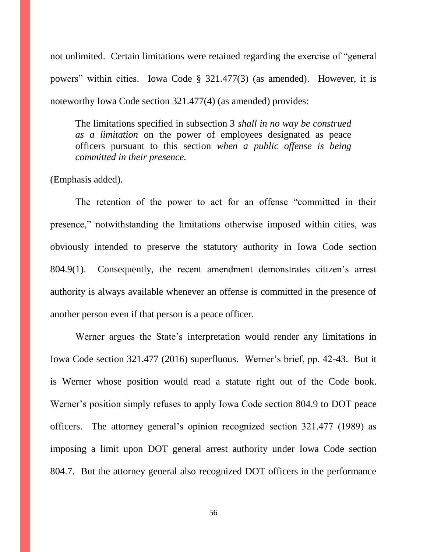not unlimited. Certain limitations were retained regarding the exercise of "general powers" within cities. Iowa Code § 321.477(3) (as amended). However, it is noteworthy Iowa Code section 321.477(4) (as amended) provides:

The limitations specified in subsection 3 *shall in no way be construed as a limitation* on the power of employees designated as peace officers pursuant to this section *when a public offense is being committed in their presence.*

#### (Emphasis added).

The retention of the power to act for an offense "committed in their presence," notwithstanding the limitations otherwise imposed within cities, was obviously intended to preserve the statutory authority in Iowa Code section 804.9(1). Consequently, the recent amendment demonstrates citizen's arrest authority is always available whenever an offense is committed in the presence of another person even if that person is a peace officer.

Werner argues the State's interpretation would render any limitations in Iowa Code section 321.477 (2016) superfluous. Werner's brief, pp. 42-43. But it is Werner whose position would read a statute right out of the Code book. Werner's position simply refuses to apply Iowa Code section 804.9 to DOT peace officers. The attorney general's opinion recognized section 321.477 (1989) as imposing a limit upon DOT general arrest authority under Iowa Code section 804.7. But the attorney general also recognized DOT officers in the performance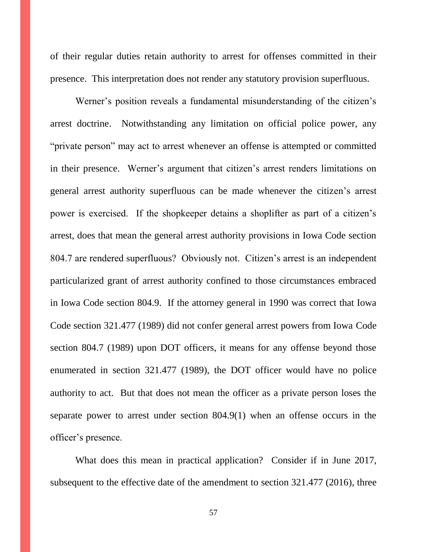of their regular duties retain authority to arrest for offenses committed in their presence. This interpretation does not render any statutory provision superfluous.

Werner's position reveals a fundamental misunderstanding of the citizen's arrest doctrine. Notwithstanding any limitation on official police power, any "private person" may act to arrest whenever an offense is attempted or committed in their presence. Werner's argument that citizen's arrest renders limitations on general arrest authority superfluous can be made whenever the citizen's arrest power is exercised. If the shopkeeper detains a shoplifter as part of a citizen's arrest, does that mean the general arrest authority provisions in Iowa Code section 804.7 are rendered superfluous? Obviously not. Citizen's arrest is an independent particularized grant of arrest authority confined to those circumstances embraced in Iowa Code section 804.9. If the attorney general in 1990 was correct that Iowa Code section 321.477 (1989) did not confer general arrest powers from Iowa Code section 804.7 (1989) upon DOT officers, it means for any offense beyond those enumerated in section 321.477 (1989), the DOT officer would have no police authority to act. But that does not mean the officer as a private person loses the separate power to arrest under section 804.9(1) when an offense occurs in the officer's presence.

What does this mean in practical application? Consider if in June 2017, subsequent to the effective date of the amendment to section 321.477 (2016), three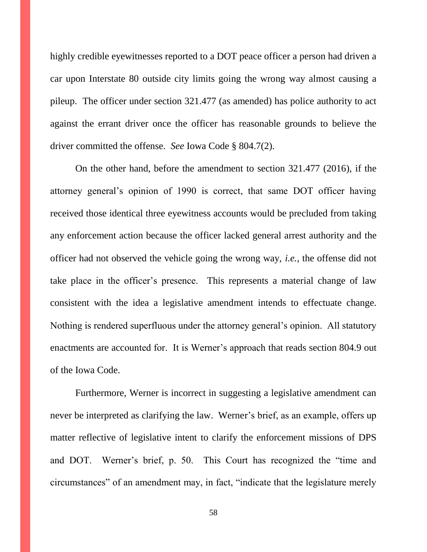highly credible eyewitnesses reported to a DOT peace officer a person had driven a car upon Interstate 80 outside city limits going the wrong way almost causing a pileup. The officer under section 321.477 (as amended) has police authority to act against the errant driver once the officer has reasonable grounds to believe the driver committed the offense. *See* Iowa Code § 804.7(2).

On the other hand, before the amendment to section 321.477 (2016), if the attorney general's opinion of 1990 is correct, that same DOT officer having received those identical three eyewitness accounts would be precluded from taking any enforcement action because the officer lacked general arrest authority and the officer had not observed the vehicle going the wrong way, *i.e.*, the offense did not take place in the officer's presence. This represents a material change of law consistent with the idea a legislative amendment intends to effectuate change. Nothing is rendered superfluous under the attorney general's opinion. All statutory enactments are accounted for. It is Werner's approach that reads section 804.9 out of the Iowa Code.

Furthermore, Werner is incorrect in suggesting a legislative amendment can never be interpreted as clarifying the law. Werner's brief, as an example, offers up matter reflective of legislative intent to clarify the enforcement missions of DPS and DOT. Werner's brief, p. 50. This Court has recognized the "time and circumstances" of an amendment may, in fact, "indicate that the legislature merely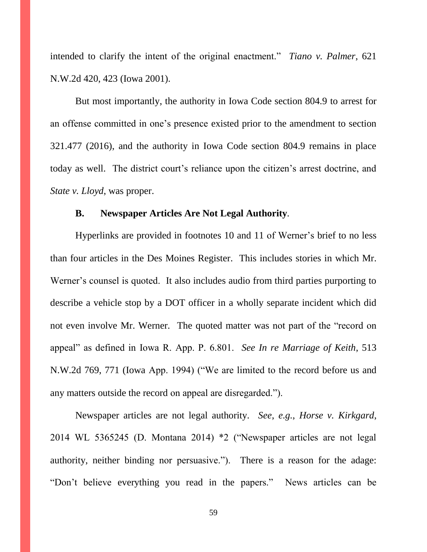intended to clarify the intent of the original enactment." *Tiano v. Palmer*, 621 N.W.2d 420, 423 (Iowa 2001).

But most importantly, the authority in Iowa Code section 804.9 to arrest for an offense committed in one's presence existed prior to the amendment to section 321.477 (2016), and the authority in Iowa Code section 804.9 remains in place today as well. The district court's reliance upon the citizen's arrest doctrine, and *State v. Lloyd*, was proper.

### **B. Newspaper Articles Are Not Legal Authority***.*

Hyperlinks are provided in footnotes 10 and 11 of Werner's brief to no less than four articles in the Des Moines Register. This includes stories in which Mr. Werner's counsel is quoted. It also includes audio from third parties purporting to describe a vehicle stop by a DOT officer in a wholly separate incident which did not even involve Mr. Werner. The quoted matter was not part of the "record on appeal" as defined in Iowa R. App. P. 6.801. *See In re Marriage of Keith*, 513 N.W.2d 769, 771 (Iowa App. 1994) ("We are limited to the record before us and any matters outside the record on appeal are disregarded.").

Newspaper articles are not legal authority. *See*, *e.g.*, *Horse v. Kirkgard*, 2014 WL 5365245 (D. Montana 2014) \*2 ("Newspaper articles are not legal authority, neither binding nor persuasive."). There is a reason for the adage: "Don't believe everything you read in the papers." News articles can be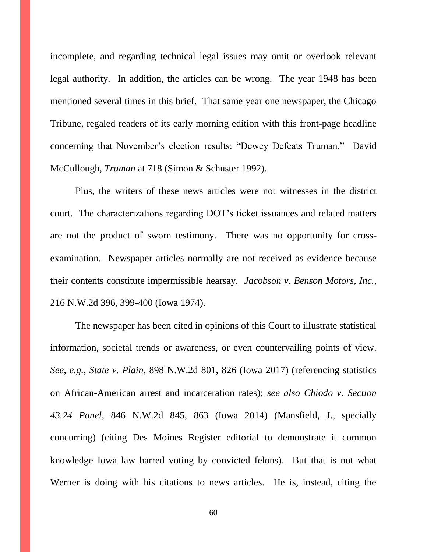incomplete, and regarding technical legal issues may omit or overlook relevant legal authority. In addition, the articles can be wrong. The year 1948 has been mentioned several times in this brief. That same year one newspaper, the Chicago Tribune, regaled readers of its early morning edition with this front-page headline concerning that November's election results: "Dewey Defeats Truman." David McCullough, *Truman* at 718 (Simon & Schuster 1992).

Plus, the writers of these news articles were not witnesses in the district court. The characterizations regarding DOT's ticket issuances and related matters are not the product of sworn testimony. There was no opportunity for crossexamination. Newspaper articles normally are not received as evidence because their contents constitute impermissible hearsay. *Jacobson v. Benson Motors, Inc.*, 216 N.W.2d 396, 399-400 (Iowa 1974).

The newspaper has been cited in opinions of this Court to illustrate statistical information, societal trends or awareness, or even countervailing points of view. *See*, *e.g.*, *State v. Plain*, 898 N.W.2d 801, 826 (Iowa 2017) (referencing statistics on African-American arrest and incarceration rates); *see also Chiodo v. Section 43.24 Panel*, 846 N.W.2d 845, 863 (Iowa 2014) (Mansfield, J., specially concurring) (citing Des Moines Register editorial to demonstrate it common knowledge Iowa law barred voting by convicted felons). But that is not what Werner is doing with his citations to news articles. He is, instead, citing the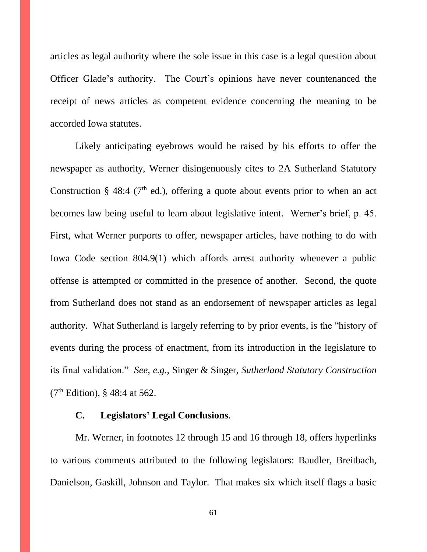articles as legal authority where the sole issue in this case is a legal question about Officer Glade's authority. The Court's opinions have never countenanced the receipt of news articles as competent evidence concerning the meaning to be accorded Iowa statutes.

Likely anticipating eyebrows would be raised by his efforts to offer the newspaper as authority, Werner disingenuously cites to 2A Sutherland Statutory Construction § 48:4 ( $7<sup>th</sup>$  ed.), offering a quote about events prior to when an act becomes law being useful to learn about legislative intent. Werner's brief, p. 45. First, what Werner purports to offer, newspaper articles, have nothing to do with Iowa Code section 804.9(1) which affords arrest authority whenever a public offense is attempted or committed in the presence of another. Second, the quote from Sutherland does not stand as an endorsement of newspaper articles as legal authority. What Sutherland is largely referring to by prior events, is the "history of events during the process of enactment, from its introduction in the legislature to its final validation." *See*, *e.g.*, Singer & Singer, *Sutherland Statutory Construction* (7th Edition), § 48:4 at 562.

### **C. Legislators' Legal Conclusions***.*

Mr. Werner, in footnotes 12 through 15 and 16 through 18, offers hyperlinks to various comments attributed to the following legislators: Baudler, Breitbach, Danielson, Gaskill, Johnson and Taylor. That makes six which itself flags a basic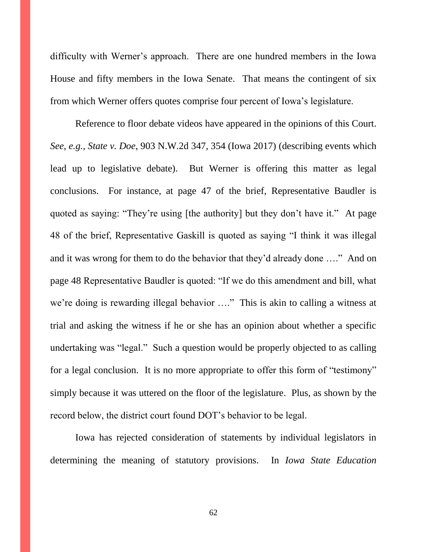difficulty with Werner's approach. There are one hundred members in the Iowa House and fifty members in the Iowa Senate. That means the contingent of six from which Werner offers quotes comprise four percent of Iowa's legislature.

Reference to floor debate videos have appeared in the opinions of this Court. *See*, *e.g.*, *State v. Doe*, 903 N.W.2d 347, 354 (Iowa 2017) (describing events which lead up to legislative debate). But Werner is offering this matter as legal conclusions. For instance, at page 47 of the brief, Representative Baudler is quoted as saying: "They're using [the authority] but they don't have it." At page 48 of the brief, Representative Gaskill is quoted as saying "I think it was illegal and it was wrong for them to do the behavior that they'd already done …." And on page 48 Representative Baudler is quoted: "If we do this amendment and bill, what we're doing is rewarding illegal behavior ...." This is akin to calling a witness at trial and asking the witness if he or she has an opinion about whether a specific undertaking was "legal." Such a question would be properly objected to as calling for a legal conclusion. It is no more appropriate to offer this form of "testimony" simply because it was uttered on the floor of the legislature. Plus, as shown by the record below, the district court found DOT's behavior to be legal.

Iowa has rejected consideration of statements by individual legislators in determining the meaning of statutory provisions. In *Iowa State Education* 

62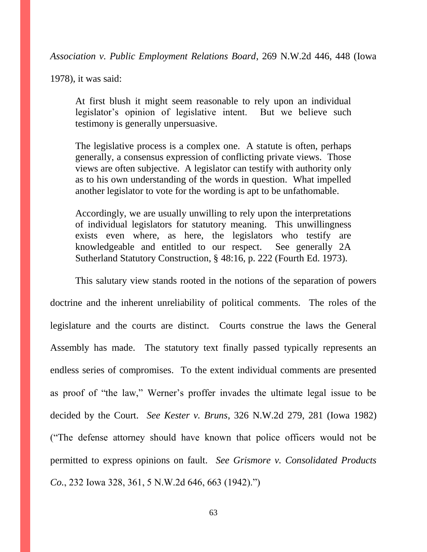*Association v. Public Employment Relations Board*, 269 N.W.2d 446, 448 (Iowa

1978), it was said:

At first blush it might seem reasonable to rely upon an individual legislator's opinion of legislative intent. But we believe such testimony is generally unpersuasive.

The legislative process is a complex one. A statute is often, perhaps generally, a consensus expression of conflicting private views. Those views are often subjective. A legislator can testify with authority only as to his own understanding of the words in question. What impelled another legislator to vote for the wording is apt to be unfathomable.

Accordingly, we are usually unwilling to rely upon the interpretations of individual legislators for statutory meaning. This unwillingness exists even where, as here, the legislators who testify are knowledgeable and entitled to our respect. See generally 2A Sutherland Statutory Construction, § 48:16, p. 222 (Fourth Ed. 1973).

This salutary view stands rooted in the notions of the separation of powers doctrine and the inherent unreliability of political comments. The roles of the legislature and the courts are distinct. Courts construe the laws the General Assembly has made. The statutory text finally passed typically represents an endless series of compromises. To the extent individual comments are presented as proof of "the law," Werner's proffer invades the ultimate legal issue to be decided by the Court. *See Kester v. Bruns*, 326 N.W.2d 279, 281 (Iowa 1982) ("The defense attorney should have known that police officers would not be permitted to express opinions on fault. *See Grismore v. Consolidated Products Co.*, 232 Iowa 328, 361, 5 N.W.2d 646, 663 (1942).")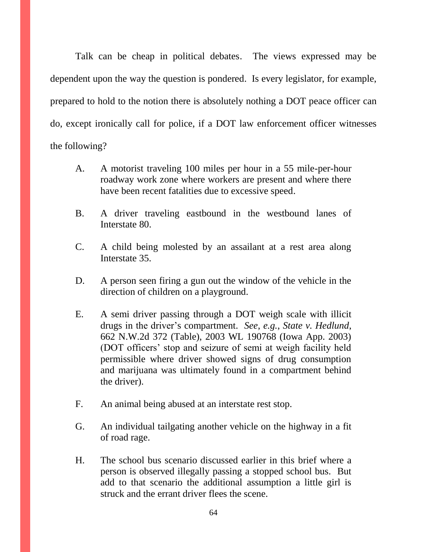Talk can be cheap in political debates. The views expressed may be dependent upon the way the question is pondered. Is every legislator, for example, prepared to hold to the notion there is absolutely nothing a DOT peace officer can do, except ironically call for police, if a DOT law enforcement officer witnesses the following?

- A. A motorist traveling 100 miles per hour in a 55 mile-per-hour roadway work zone where workers are present and where there have been recent fatalities due to excessive speed.
- B. A driver traveling eastbound in the westbound lanes of Interstate 80.
- C. A child being molested by an assailant at a rest area along Interstate 35.
- D. A person seen firing a gun out the window of the vehicle in the direction of children on a playground.
- E. A semi driver passing through a DOT weigh scale with illicit drugs in the driver's compartment. *See*, *e.g.*, *State v. Hedlund*, 662 N.W.2d 372 (Table), 2003 WL 190768 (Iowa App. 2003) (DOT officers' stop and seizure of semi at weigh facility held permissible where driver showed signs of drug consumption and marijuana was ultimately found in a compartment behind the driver).
- F. An animal being abused at an interstate rest stop.
- G. An individual tailgating another vehicle on the highway in a fit of road rage.
- H. The school bus scenario discussed earlier in this brief where a person is observed illegally passing a stopped school bus. But add to that scenario the additional assumption a little girl is struck and the errant driver flees the scene.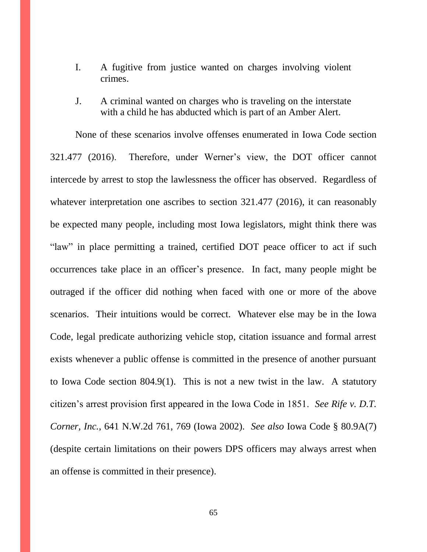- I. A fugitive from justice wanted on charges involving violent crimes.
- J. A criminal wanted on charges who is traveling on the interstate with a child he has abducted which is part of an Amber Alert.

None of these scenarios involve offenses enumerated in Iowa Code section 321.477 (2016). Therefore, under Werner's view, the DOT officer cannot intercede by arrest to stop the lawlessness the officer has observed. Regardless of whatever interpretation one ascribes to section 321.477 (2016), it can reasonably be expected many people, including most Iowa legislators, might think there was "law" in place permitting a trained, certified DOT peace officer to act if such occurrences take place in an officer's presence. In fact, many people might be outraged if the officer did nothing when faced with one or more of the above scenarios. Their intuitions would be correct. Whatever else may be in the Iowa Code, legal predicate authorizing vehicle stop, citation issuance and formal arrest exists whenever a public offense is committed in the presence of another pursuant to Iowa Code section 804.9(1). This is not a new twist in the law. A statutory citizen's arrest provision first appeared in the Iowa Code in 1851. *See Rife v. D.T. Corner, Inc.*, 641 N.W.2d 761, 769 (Iowa 2002). *See also* Iowa Code § 80.9A(7) (despite certain limitations on their powers DPS officers may always arrest when an offense is committed in their presence).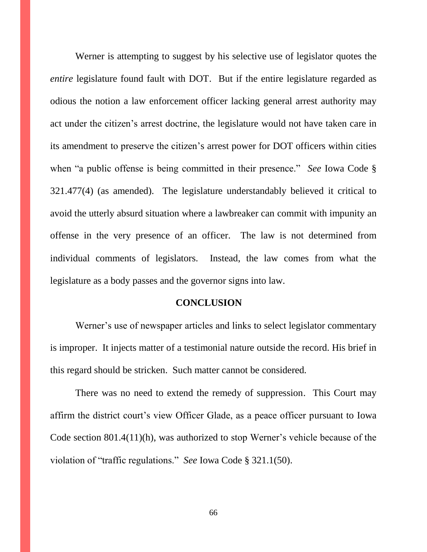Werner is attempting to suggest by his selective use of legislator quotes the *entire* legislature found fault with DOT. But if the entire legislature regarded as odious the notion a law enforcement officer lacking general arrest authority may act under the citizen's arrest doctrine, the legislature would not have taken care in its amendment to preserve the citizen's arrest power for DOT officers within cities when "a public offense is being committed in their presence." *See* Iowa Code § 321.477(4) (as amended). The legislature understandably believed it critical to avoid the utterly absurd situation where a lawbreaker can commit with impunity an offense in the very presence of an officer. The law is not determined from individual comments of legislators. Instead, the law comes from what the legislature as a body passes and the governor signs into law.

#### **CONCLUSION**

Werner's use of newspaper articles and links to select legislator commentary is improper. It injects matter of a testimonial nature outside the record. His brief in this regard should be stricken. Such matter cannot be considered.

There was no need to extend the remedy of suppression. This Court may affirm the district court's view Officer Glade, as a peace officer pursuant to Iowa Code section 801.4(11)(h), was authorized to stop Werner's vehicle because of the violation of "traffic regulations." *See* Iowa Code § 321.1(50).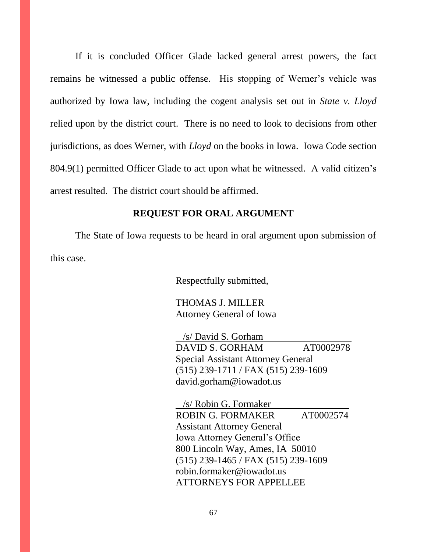If it is concluded Officer Glade lacked general arrest powers, the fact remains he witnessed a public offense. His stopping of Werner's vehicle was authorized by Iowa law, including the cogent analysis set out in *State v. Lloyd* relied upon by the district court. There is no need to look to decisions from other jurisdictions, as does Werner, with *Lloyd* on the books in Iowa. Iowa Code section 804.9(1) permitted Officer Glade to act upon what he witnessed. A valid citizen's arrest resulted. The district court should be affirmed.

#### **REQUEST FOR ORAL ARGUMENT**

The State of Iowa requests to be heard in oral argument upon submission of this case.

Respectfully submitted,

THOMAS J. MILLER Attorney General of Iowa

 /s/ David S. Gorham DAVID S. GORHAM AT0002978 Special Assistant Attorney General (515) 239-1711 / FAX (515) 239-1609 david.gorham@iowadot.us

 $/s/$  Robin G. Formaker ROBIN G. FORMAKER AT0002574 Assistant Attorney General Iowa Attorney General's Office 800 Lincoln Way, Ames, IA 50010 (515) 239-1465 / FAX (515) 239-1609 robin.formaker@iowadot.us ATTORNEYS FOR APPELLEE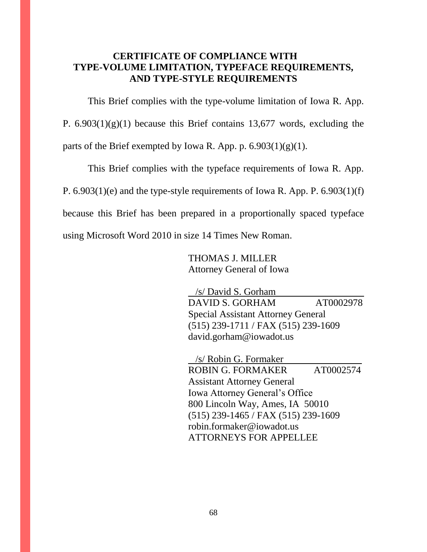### **CERTIFICATE OF COMPLIANCE WITH TYPE-VOLUME LIMITATION, TYPEFACE REQUIREMENTS, AND TYPE-STYLE REQUIREMENTS**

This Brief complies with the type-volume limitation of Iowa R. App.

P.  $6.903(1)(g)(1)$  because this Brief contains 13,677 words, excluding the parts of the Brief exempted by Iowa R. App. p.  $6.903(1)(g)(1)$ .

This Brief complies with the typeface requirements of Iowa R. App. P. 6.903(1)(e) and the type-style requirements of Iowa R. App. P. 6.903(1)(f) because this Brief has been prepared in a proportionally spaced typeface using Microsoft Word 2010 in size 14 Times New Roman.

> THOMAS J. MILLER Attorney General of Iowa

 /s/ David S. Gorham DAVID S. GORHAM AT0002978 Special Assistant Attorney General (515) 239-1711 / FAX (515) 239-1609 [david.gorham@iowadot.us](mailto:david.gorham@iowadot.us)

 $/s$ / Robin G. Formaker ROBIN G. FORMAKER AT0002574 Assistant Attorney General Iowa Attorney General's Office 800 Lincoln Way, Ames, IA 50010 (515) 239-1465 / FAX (515) 239-1609 robin.formaker@iowadot.us ATTORNEYS FOR APPELLEE